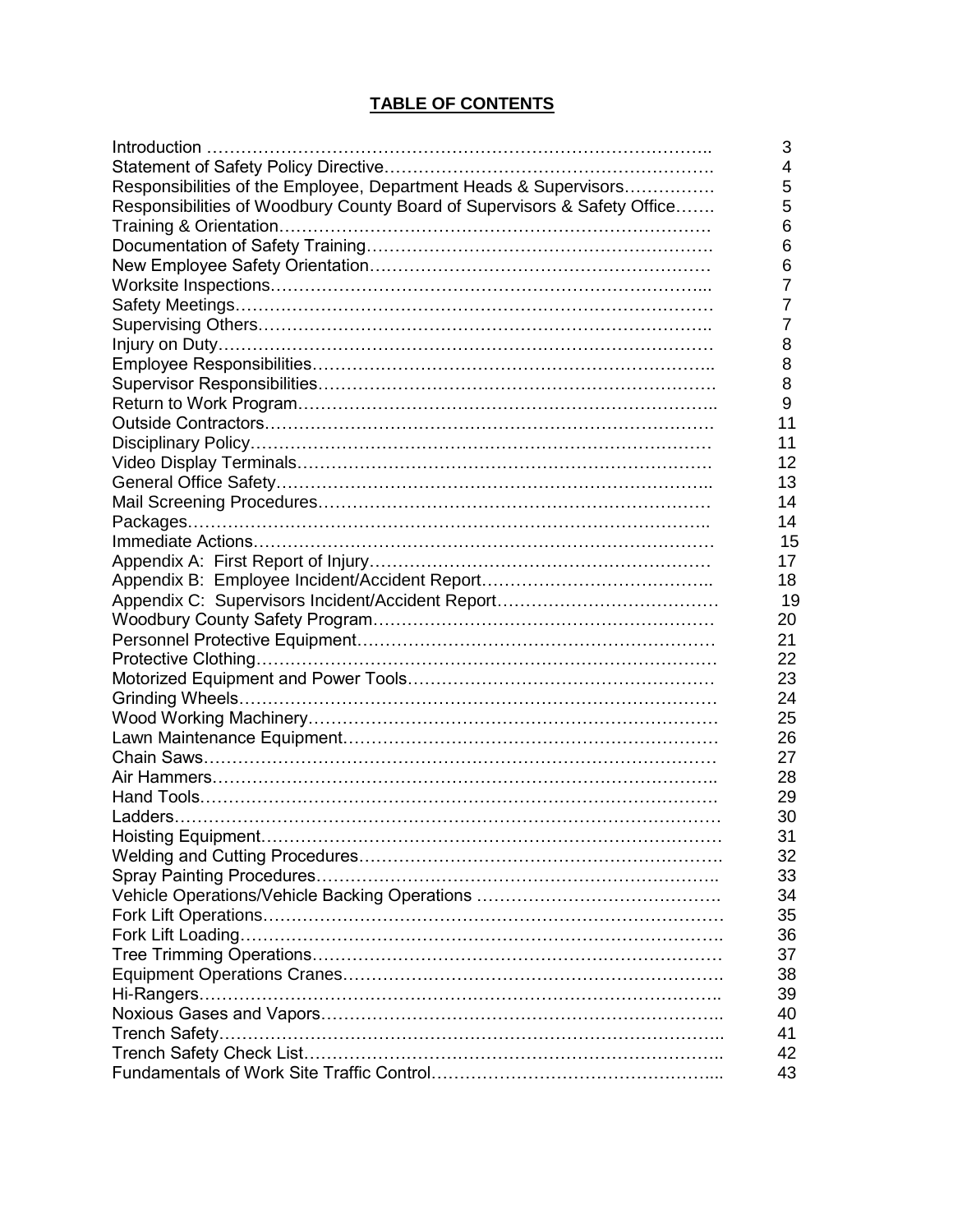# **TABLE OF CONTENTS**

|                                                                          | 3  |
|--------------------------------------------------------------------------|----|
|                                                                          | 4  |
| Responsibilities of the Employee, Department Heads & Supervisors         | 5  |
| Responsibilities of Woodbury County Board of Supervisors & Safety Office | 5  |
|                                                                          | 6  |
|                                                                          | 6  |
|                                                                          | 6  |
|                                                                          | 7  |
|                                                                          | 7  |
|                                                                          | 7  |
|                                                                          | 8  |
|                                                                          | 8  |
|                                                                          | 8  |
|                                                                          | 9  |
|                                                                          | 11 |
|                                                                          | 11 |
|                                                                          | 12 |
|                                                                          | 13 |
|                                                                          | 14 |
|                                                                          | 14 |
|                                                                          | 15 |
|                                                                          | 17 |
|                                                                          | 18 |
|                                                                          | 19 |
|                                                                          | 20 |
|                                                                          | 21 |
|                                                                          | 22 |
|                                                                          | 23 |
|                                                                          | 24 |
|                                                                          | 25 |
|                                                                          | 26 |
|                                                                          | 27 |
|                                                                          |    |
|                                                                          | 28 |
|                                                                          | 29 |
|                                                                          | 30 |
|                                                                          | 31 |
|                                                                          | 32 |
|                                                                          | 33 |
|                                                                          | 34 |
|                                                                          | 35 |
|                                                                          | 36 |
|                                                                          | 37 |
|                                                                          | 38 |
|                                                                          | 39 |
|                                                                          | 40 |
|                                                                          | 41 |
|                                                                          | 42 |
|                                                                          | 43 |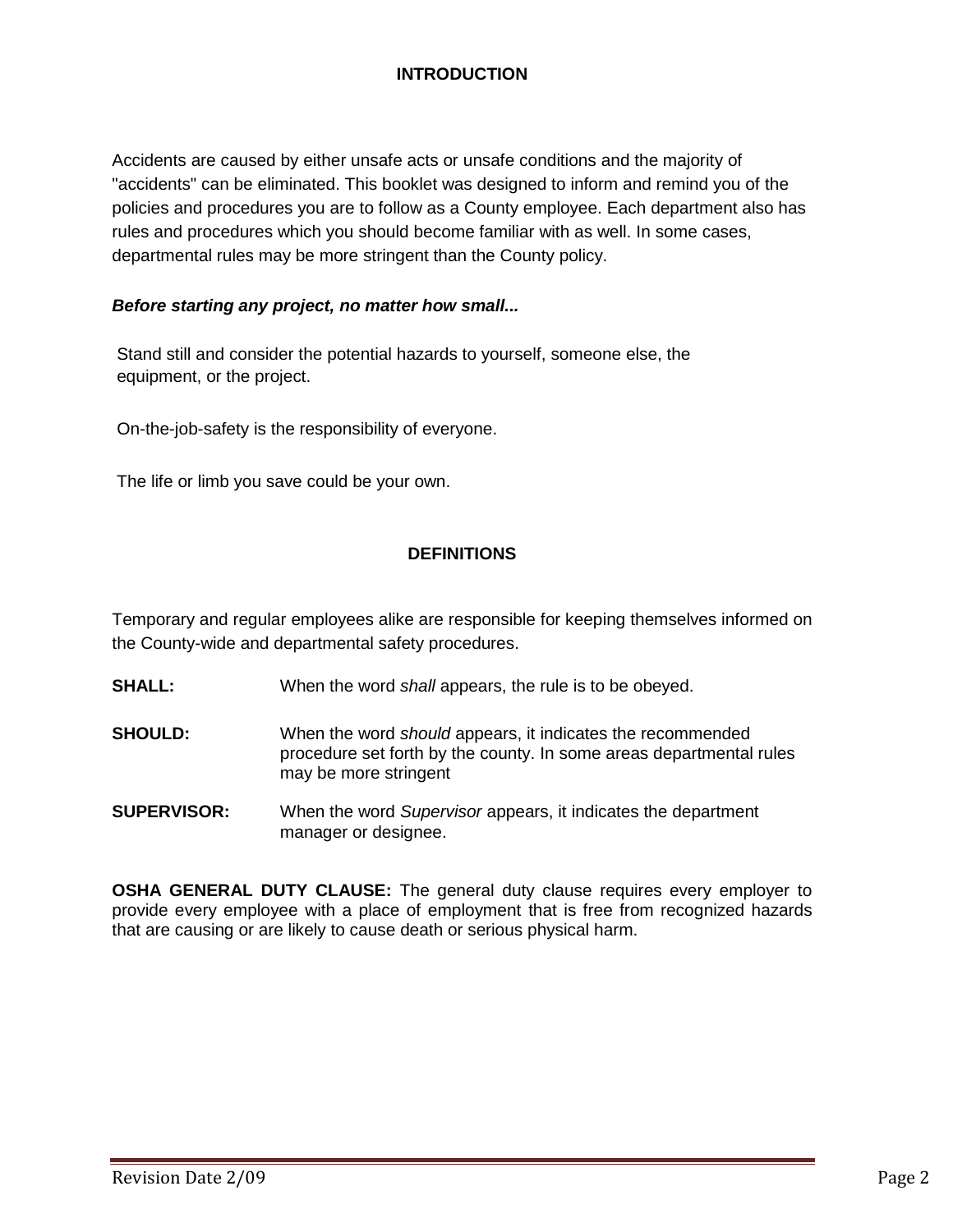# **INTRODUCTION**

Accidents are caused by either unsafe acts or unsafe conditions and the majority of "accidents" can be eliminated. This booklet was designed to inform and remind you of the policies and procedures you are to follow as a County employee. Each department also has rules and procedures which you should become familiar with as well. In some cases, departmental rules may be more stringent than the County policy.

### *Before starting any project, no matter how small...*

Stand still and consider the potential hazards to yourself, someone else, the equipment, or the project.

On-the-job-safety is the responsibility of everyone.

The life or limb you save could be your own.

#### **DEFINITIONS**

Temporary and regular employees alike are responsible for keeping themselves informed on the County-wide and departmental safety procedures.

- **SHALL:** When the word *shall* appears, the rule is to be obeyed.
- **SHOULD:** When the word *should* appears, it indicates the recommended procedure set forth by the county. In some areas departmental rules may be more stringent
- **SUPERVISOR:** When the word *Supervisor* appears, it indicates the department manager or designee.

**OSHA GENERAL DUTY CLAUSE:** The general duty clause requires every employer to provide every employee with a place of employment that is free from recognized hazards that are causing or are likely to cause death or serious physical harm.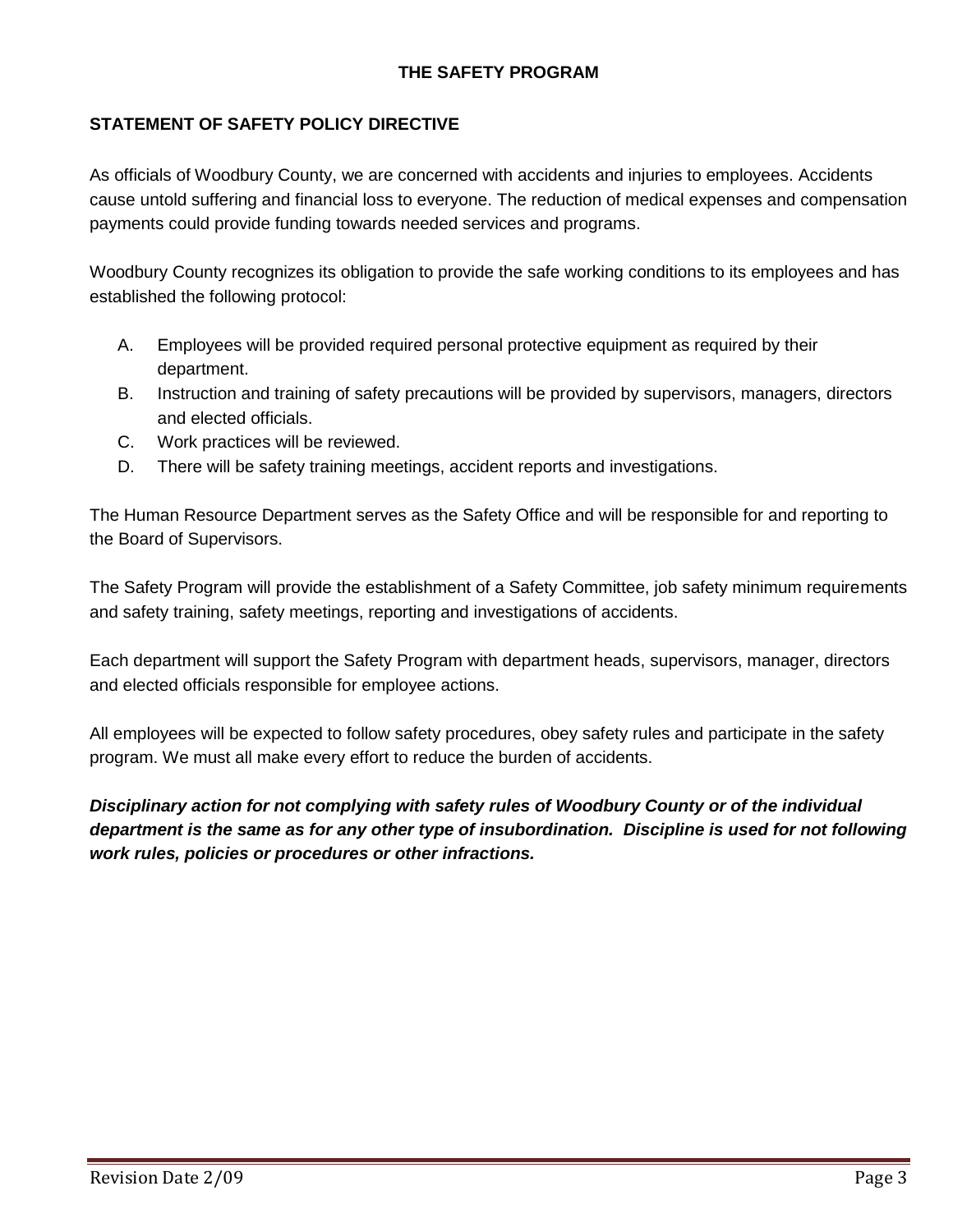# **THE SAFETY PROGRAM**

## **STATEMENT OF SAFETY POLICY DIRECTIVE**

As officials of Woodbury County, we are concerned with accidents and injuries to employees. Accidents cause untold suffering and financial loss to everyone. The reduction of medical expenses and compensation payments could provide funding towards needed services and programs.

Woodbury County recognizes its obligation to provide the safe working conditions to its employees and has established the following protocol:

- A. Employees will be provided required personal protective equipment as required by their department.
- B. Instruction and training of safety precautions will be provided by supervisors, managers, directors and elected officials.
- C. Work practices will be reviewed.
- D. There will be safety training meetings, accident reports and investigations.

The Human Resource Department serves as the Safety Office and will be responsible for and reporting to the Board of Supervisors.

The Safety Program will provide the establishment of a Safety Committee, job safety minimum requirements and safety training, safety meetings, reporting and investigations of accidents.

Each department will support the Safety Program with department heads, supervisors, manager, directors and elected officials responsible for employee actions.

All employees will be expected to follow safety procedures, obey safety rules and participate in the safety program. We must all make every effort to reduce the burden of accidents.

*Disciplinary action for not complying with safety rules of Woodbury County or of the individual department is the same as for any other type of insubordination. Discipline is used for not following work rules, policies or procedures or other infractions.*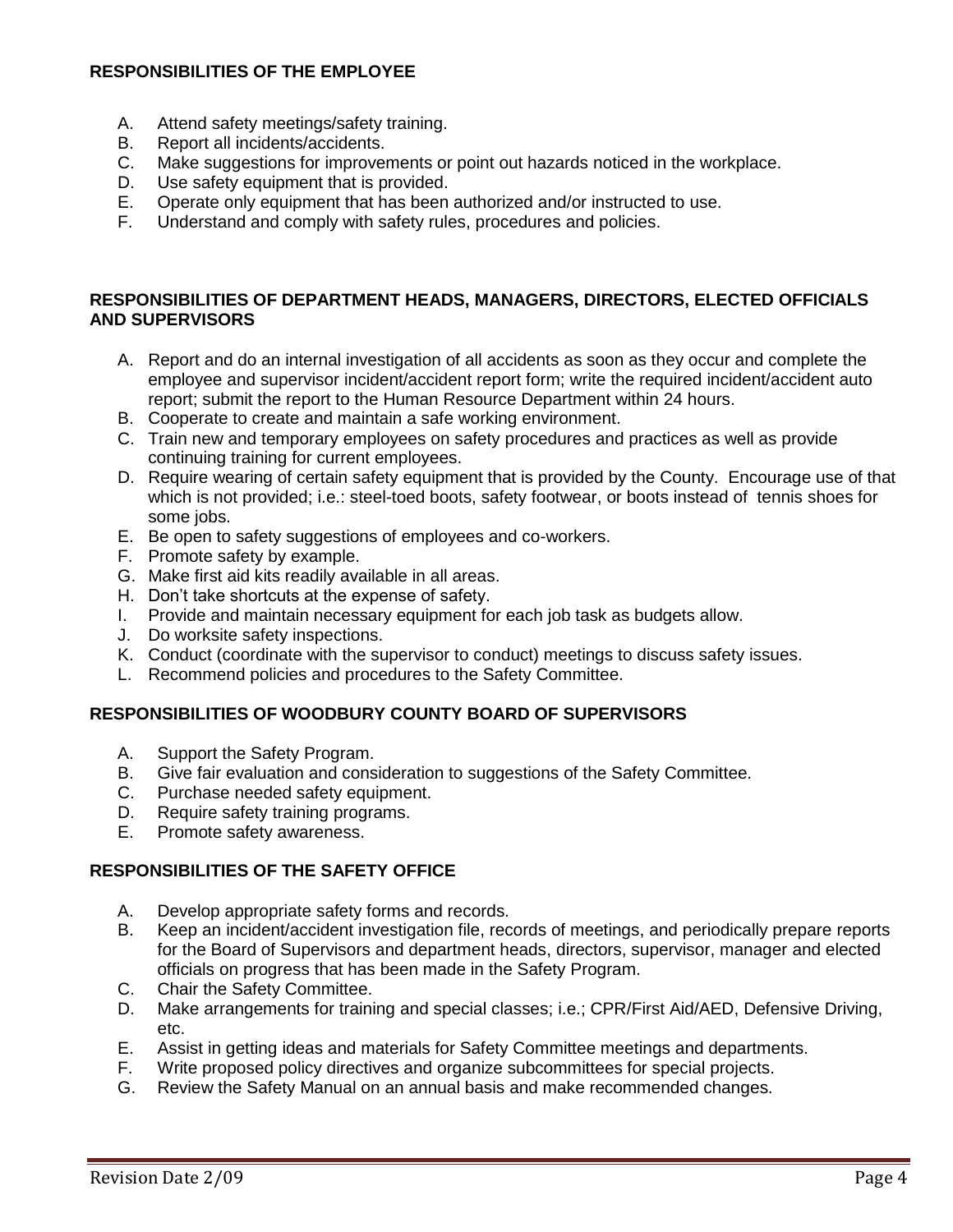## **RESPONSIBILITIES OF THE EMPLOYEE**

- A. Attend safety meetings/safety training.
- B. Report all incidents/accidents.
- C. Make suggestions for improvements or point out hazards noticed in the workplace.
- D. Use safety equipment that is provided.
- E. Operate only equipment that has been authorized and/or instructed to use.<br>F. Understand and comply with safety rules, procedures and policies.
- Understand and comply with safety rules, procedures and policies.

#### **RESPONSIBILITIES OF DEPARTMENT HEADS, MANAGERS, DIRECTORS, ELECTED OFFICIALS AND SUPERVISORS**

- A. Report and do an internal investigation of all accidents as soon as they occur and complete the employee and supervisor incident/accident report form; write the required incident/accident auto report; submit the report to the Human Resource Department within 24 hours.
- B. Cooperate to create and maintain a safe working environment.
- C. Train new and temporary employees on safety procedures and practices as well as provide continuing training for current employees.
- D. Require wearing of certain safety equipment that is provided by the County. Encourage use of that which is not provided; i.e.: steel-toed boots, safety footwear, or boots instead of tennis shoes for some jobs.
- E. Be open to safety suggestions of employees and co-workers.
- F. Promote safety by example.
- G. Make first aid kits readily available in all areas.
- H. Don't take shortcuts at the expense of safety.
- I. Provide and maintain necessary equipment for each job task as budgets allow.
- J. Do worksite safety inspections.
- K. Conduct (coordinate with the supervisor to conduct) meetings to discuss safety issues.
- L. Recommend policies and procedures to the Safety Committee.

### **RESPONSIBILITIES OF WOODBURY COUNTY BOARD OF SUPERVISORS**

- A. Support the Safety Program.
- B. Give fair evaluation and consideration to suggestions of the Safety Committee.
- C. Purchase needed safety equipment.
- D. Require safety training programs.
- E. Promote safety awareness.

### **RESPONSIBILITIES OF THE SAFETY OFFICE**

- A. Develop appropriate safety forms and records.
- B. Keep an incident/accident investigation file, records of meetings, and periodically prepare reports for the Board of Supervisors and department heads, directors, supervisor, manager and elected officials on progress that has been made in the Safety Program.
- C. Chair the Safety Committee.
- D. Make arrangements for training and special classes; i.e.; CPR/First Aid/AED, Defensive Driving, etc.
- E. Assist in getting ideas and materials for Safety Committee meetings and departments.
- F. Write proposed policy directives and organize subcommittees for special projects.
- G. Review the Safety Manual on an annual basis and make recommended changes.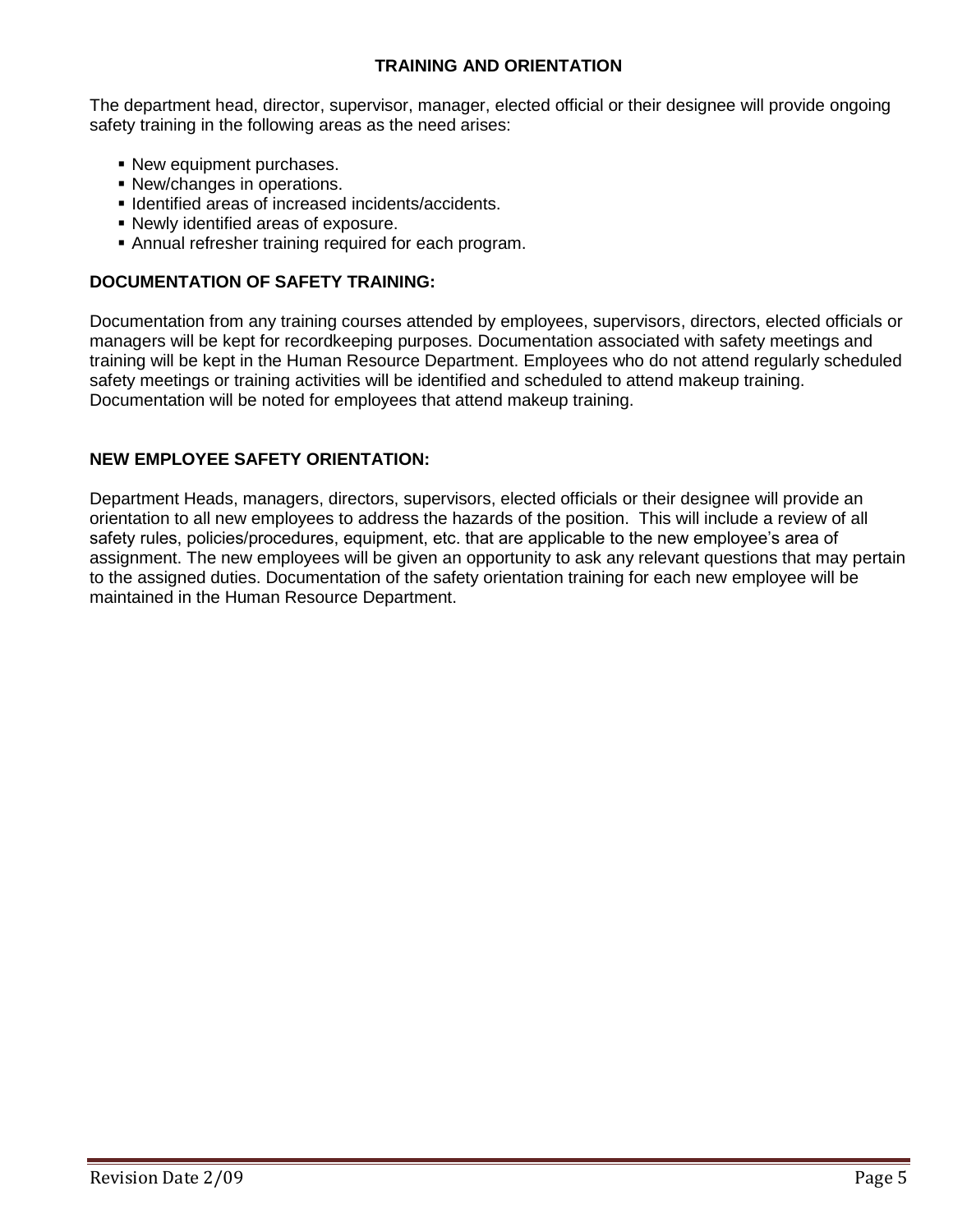## **TRAINING AND ORIENTATION**

The department head, director, supervisor, manager, elected official or their designee will provide ongoing safety training in the following areas as the need arises:

- New equipment purchases.
- New/changes in operations.
- Identified areas of increased incidents/accidents.
- Newly identified areas of exposure.
- Annual refresher training required for each program.

## **DOCUMENTATION OF SAFETY TRAINING:**

Documentation from any training courses attended by employees, supervisors, directors, elected officials or managers will be kept for recordkeeping purposes. Documentation associated with safety meetings and training will be kept in the Human Resource Department. Employees who do not attend regularly scheduled safety meetings or training activities will be identified and scheduled to attend makeup training. Documentation will be noted for employees that attend makeup training.

### **NEW EMPLOYEE SAFETY ORIENTATION:**

Department Heads, managers, directors, supervisors, elected officials or their designee will provide an orientation to all new employees to address the hazards of the position. This will include a review of all safety rules, policies/procedures, equipment, etc. that are applicable to the new employee's area of assignment. The new employees will be given an opportunity to ask any relevant questions that may pertain to the assigned duties. Documentation of the safety orientation training for each new employee will be maintained in the Human Resource Department.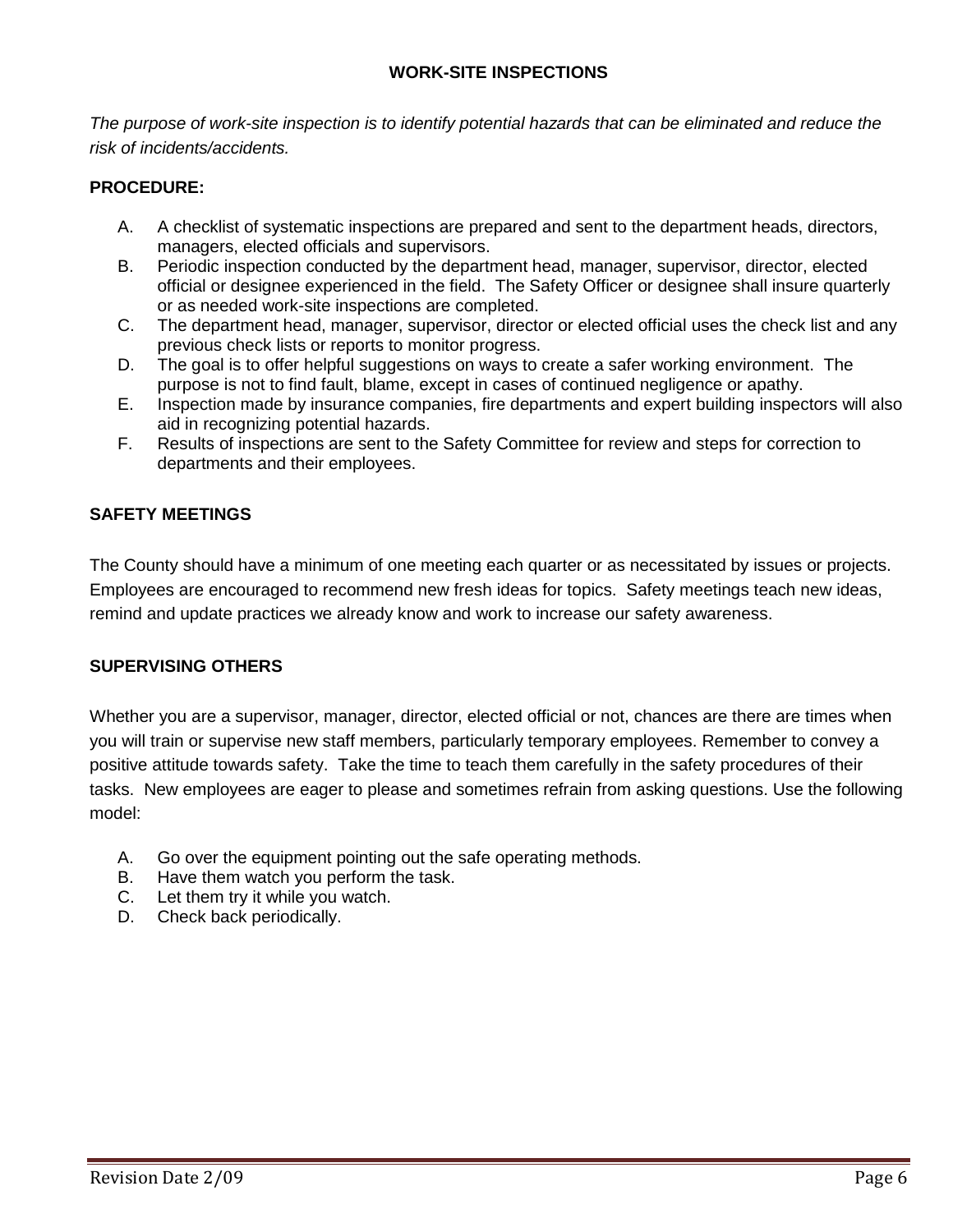## **WORK-SITE INSPECTIONS**

*The purpose of work-site inspection is to identify potential hazards that can be eliminated and reduce the risk of incidents/accidents.*

### **PROCEDURE:**

- A. A checklist of systematic inspections are prepared and sent to the department heads, directors, managers, elected officials and supervisors.
- B. Periodic inspection conducted by the department head, manager, supervisor, director, elected official or designee experienced in the field. The Safety Officer or designee shall insure quarterly or as needed work-site inspections are completed.
- C. The department head, manager, supervisor, director or elected official uses the check list and any previous check lists or reports to monitor progress.
- D. The goal is to offer helpful suggestions on ways to create a safer working environment. The purpose is not to find fault, blame, except in cases of continued negligence or apathy.
- E. Inspection made by insurance companies, fire departments and expert building inspectors will also aid in recognizing potential hazards.
- F. Results of inspections are sent to the Safety Committee for review and steps for correction to departments and their employees.

### **SAFETY MEETINGS**

The County should have a minimum of one meeting each quarter or as necessitated by issues or projects. Employees are encouraged to recommend new fresh ideas for topics. Safety meetings teach new ideas, remind and update practices we already know and work to increase our safety awareness.

### **SUPERVISING OTHERS**

Whether you are a supervisor, manager, director, elected official or not, chances are there are times when you will train or supervise new staff members, particularly temporary employees. Remember to convey a positive attitude towards safety. Take the time to teach them carefully in the safety procedures of their tasks. New employees are eager to please and sometimes refrain from asking questions. Use the following model:

- A. Go over the equipment pointing out the safe operating methods.
- B. Have them watch you perform the task.
- C. Let them try it while you watch.
- D. Check back periodically.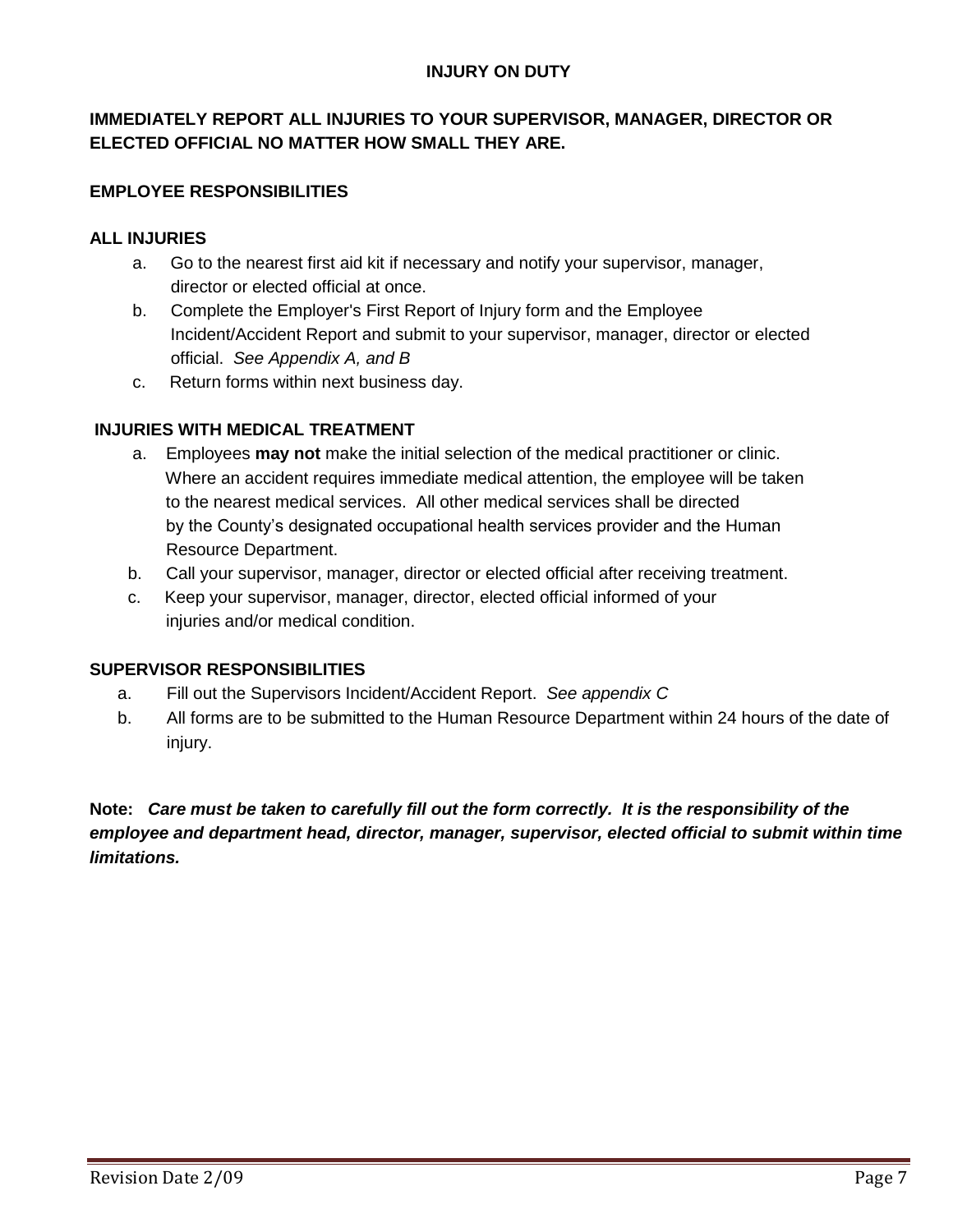## **INJURY ON DUTY**

# **IMMEDIATELY REPORT ALL INJURIES TO YOUR SUPERVISOR, MANAGER, DIRECTOR OR ELECTED OFFICIAL NO MATTER HOW SMALL THEY ARE.**

## **EMPLOYEE RESPONSIBILITIES**

### **ALL INJURIES**

- a. Go to the nearest first aid kit if necessary and notify your supervisor, manager, director or elected official at once.
- b. Complete the Employer's First Report of Injury form and the Employee Incident/Accident Report and submit to your supervisor, manager, director or elected official. *See Appendix A, and B*
- c. Return forms within next business day.

## **INJURIES WITH MEDICAL TREATMENT**

- a. Employees **may not** make the initial selection of the medical practitioner or clinic. Where an accident requires immediate medical attention, the employee will be taken to the nearest medical services. All other medical services shall be directed by the County's designated occupational health services provider and the Human Resource Department.
- b. Call your supervisor, manager, director or elected official after receiving treatment.
- c. Keep your supervisor, manager, director, elected official informed of your injuries and/or medical condition.

### **SUPERVISOR RESPONSIBILITIES**

- a. Fill out the Supervisors Incident/Accident Report. *See appendix C*
- b. All forms are to be submitted to the Human Resource Department within 24 hours of the date of injury.

**Note:** *Care must be taken to carefully fill out the form correctly. It is the responsibility of the employee and department head, director, manager, supervisor, elected official to submit within time limitations.*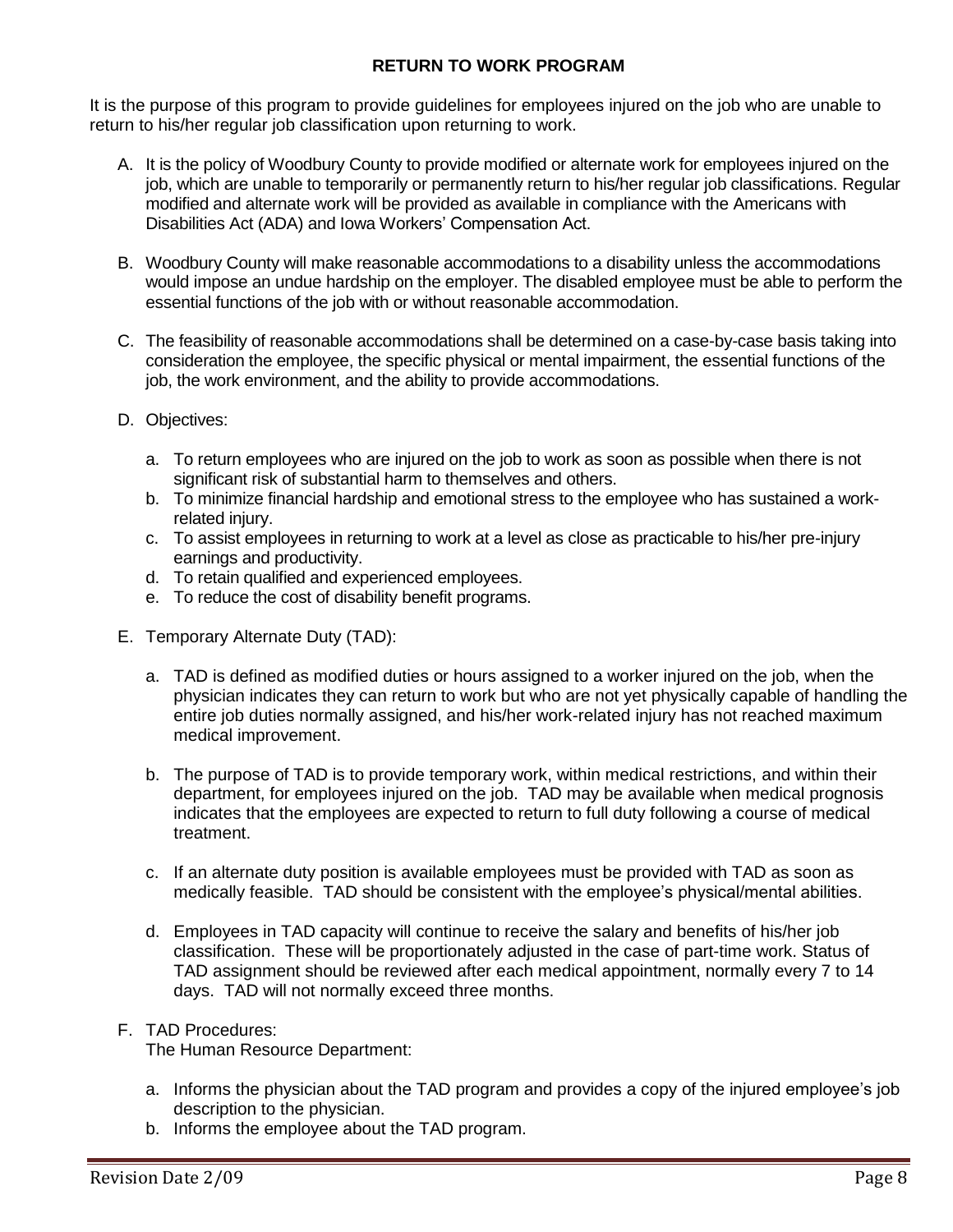## **RETURN TO WORK PROGRAM**

It is the purpose of this program to provide guidelines for employees injured on the job who are unable to return to his/her regular job classification upon returning to work.

- A. It is the policy of Woodbury County to provide modified or alternate work for employees injured on the job, which are unable to temporarily or permanently return to his/her regular job classifications. Regular modified and alternate work will be provided as available in compliance with the Americans with Disabilities Act (ADA) and Iowa Workers' Compensation Act.
- B. Woodbury County will make reasonable accommodations to a disability unless the accommodations would impose an undue hardship on the employer. The disabled employee must be able to perform the essential functions of the job with or without reasonable accommodation.
- C. The feasibility of reasonable accommodations shall be determined on a case-by-case basis taking into consideration the employee, the specific physical or mental impairment, the essential functions of the job, the work environment, and the ability to provide accommodations.
- D. Objectives:
	- a. To return employees who are injured on the job to work as soon as possible when there is not significant risk of substantial harm to themselves and others.
	- b. To minimize financial hardship and emotional stress to the employee who has sustained a workrelated injury.
	- c. To assist employees in returning to work at a level as close as practicable to his/her pre-injury earnings and productivity.
	- d. To retain qualified and experienced employees.
	- e. To reduce the cost of disability benefit programs.
- E. Temporary Alternate Duty (TAD):
	- a. TAD is defined as modified duties or hours assigned to a worker injured on the job, when the physician indicates they can return to work but who are not yet physically capable of handling the entire job duties normally assigned, and his/her work-related injury has not reached maximum medical improvement.
	- b. The purpose of TAD is to provide temporary work, within medical restrictions, and within their department, for employees injured on the job. TAD may be available when medical prognosis indicates that the employees are expected to return to full duty following a course of medical treatment.
	- c. If an alternate duty position is available employees must be provided with TAD as soon as medically feasible. TAD should be consistent with the employee's physical/mental abilities.
	- d. Employees in TAD capacity will continue to receive the salary and benefits of his/her job classification. These will be proportionately adjusted in the case of part-time work. Status of TAD assignment should be reviewed after each medical appointment, normally every 7 to 14 days. TAD will not normally exceed three months.

### F. TAD Procedures:

The Human Resource Department:

- a. Informs the physician about the TAD program and provides a copy of the injured employee's job description to the physician.
- b. Informs the employee about the TAD program.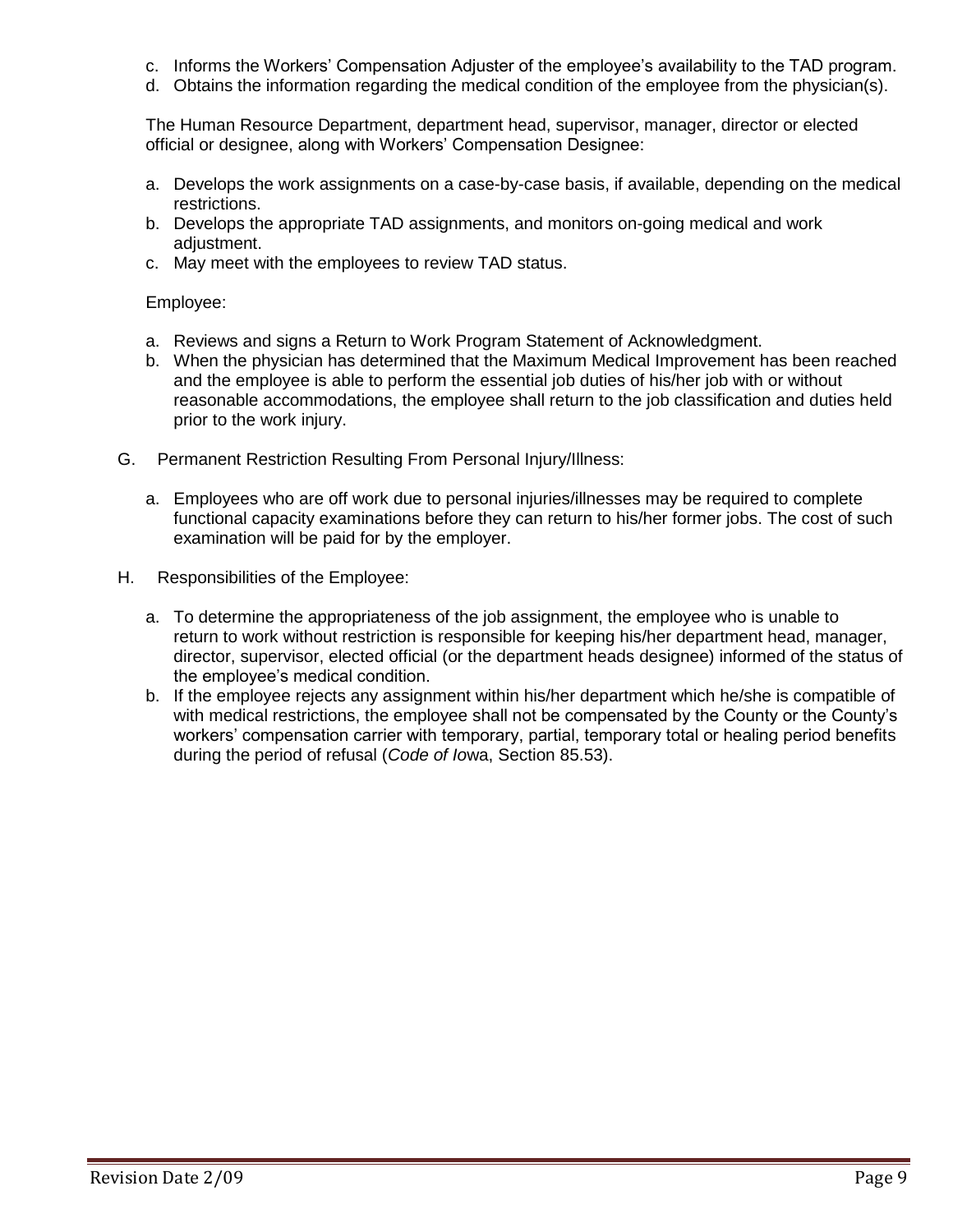- c. Informs the Workers' Compensation Adjuster of the employee's availability to the TAD program.
- d. Obtains the information regarding the medical condition of the employee from the physician(s).

The Human Resource Department, department head, supervisor, manager, director or elected official or designee, along with Workers' Compensation Designee:

- a. Develops the work assignments on a case-by-case basis, if available, depending on the medical restrictions.
- b. Develops the appropriate TAD assignments, and monitors on-going medical and work adiustment.
- c. May meet with the employees to review TAD status.

#### Employee:

- a. Reviews and signs a Return to Work Program Statement of Acknowledgment.
- b. When the physician has determined that the Maximum Medical Improvement has been reached and the employee is able to perform the essential job duties of his/her job with or without reasonable accommodations, the employee shall return to the job classification and duties held prior to the work injury.
- G. Permanent Restriction Resulting From Personal Injury/Illness:
	- a. Employees who are off work due to personal injuries/illnesses may be required to complete functional capacity examinations before they can return to his/her former jobs. The cost of such examination will be paid for by the employer.
- H. Responsibilities of the Employee:
	- a. To determine the appropriateness of the job assignment, the employee who is unable to return to work without restriction is responsible for keeping his/her department head, manager, director, supervisor, elected official (or the department heads designee) informed of the status of the employee's medical condition.
	- b. If the employee rejects any assignment within his/her department which he/she is compatible of with medical restrictions, the employee shall not be compensated by the County or the County's workers' compensation carrier with temporary, partial, temporary total or healing period benefits during the period of refusal (*Code of Io*wa, Section 85.53).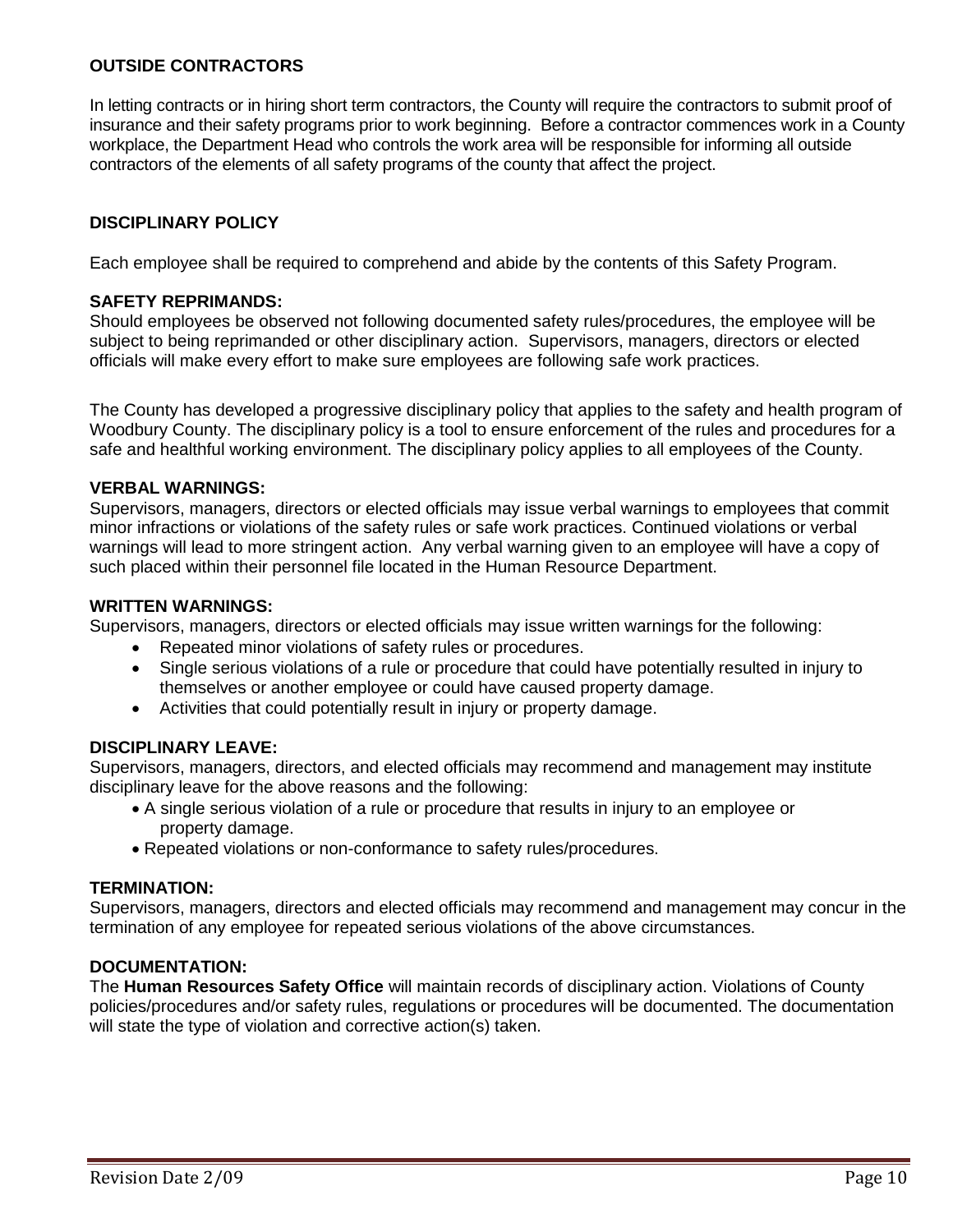### **OUTSIDE CONTRACTORS**

In letting contracts or in hiring short term contractors, the County will require the contractors to submit proof of insurance and their safety programs prior to work beginning. Before a contractor commences work in a County workplace, the Department Head who controls the work area will be responsible for informing all outside contractors of the elements of all safety programs of the county that affect the project.

## **DISCIPLINARY POLICY**

Each employee shall be required to comprehend and abide by the contents of this Safety Program.

#### **SAFETY REPRIMANDS:**

Should employees be observed not following documented safety rules/procedures, the employee will be subject to being reprimanded or other disciplinary action. Supervisors, managers, directors or elected officials will make every effort to make sure employees are following safe work practices.

The County has developed a progressive disciplinary policy that applies to the safety and health program of Woodbury County. The disciplinary policy is a tool to ensure enforcement of the rules and procedures for a safe and healthful working environment. The disciplinary policy applies to all employees of the County.

#### **VERBAL WARNINGS:**

Supervisors, managers, directors or elected officials may issue verbal warnings to employees that commit minor infractions or violations of the safety rules or safe work practices. Continued violations or verbal warnings will lead to more stringent action. Any verbal warning given to an employee will have a copy of such placed within their personnel file located in the Human Resource Department.

#### **WRITTEN WARNINGS:**

Supervisors, managers, directors or elected officials may issue written warnings for the following:

- Repeated minor violations of safety rules or procedures.
- Single serious violations of a rule or procedure that could have potentially resulted in injury to themselves or another employee or could have caused property damage.
- Activities that could potentially result in injury or property damage.

### **DISCIPLINARY LEAVE:**

Supervisors, managers, directors, and elected officials may recommend and management may institute disciplinary leave for the above reasons and the following:

- A single serious violation of a rule or procedure that results in injury to an employee or property damage.
- Repeated violations or non-conformance to safety rules/procedures.

#### **TERMINATION:**

Supervisors, managers, directors and elected officials may recommend and management may concur in the termination of any employee for repeated serious violations of the above circumstances.

## **DOCUMENTATION:**

The **Human Resources Safety Office** will maintain records of disciplinary action. Violations of County policies/procedures and/or safety rules, regulations or procedures will be documented. The documentation will state the type of violation and corrective action(s) taken.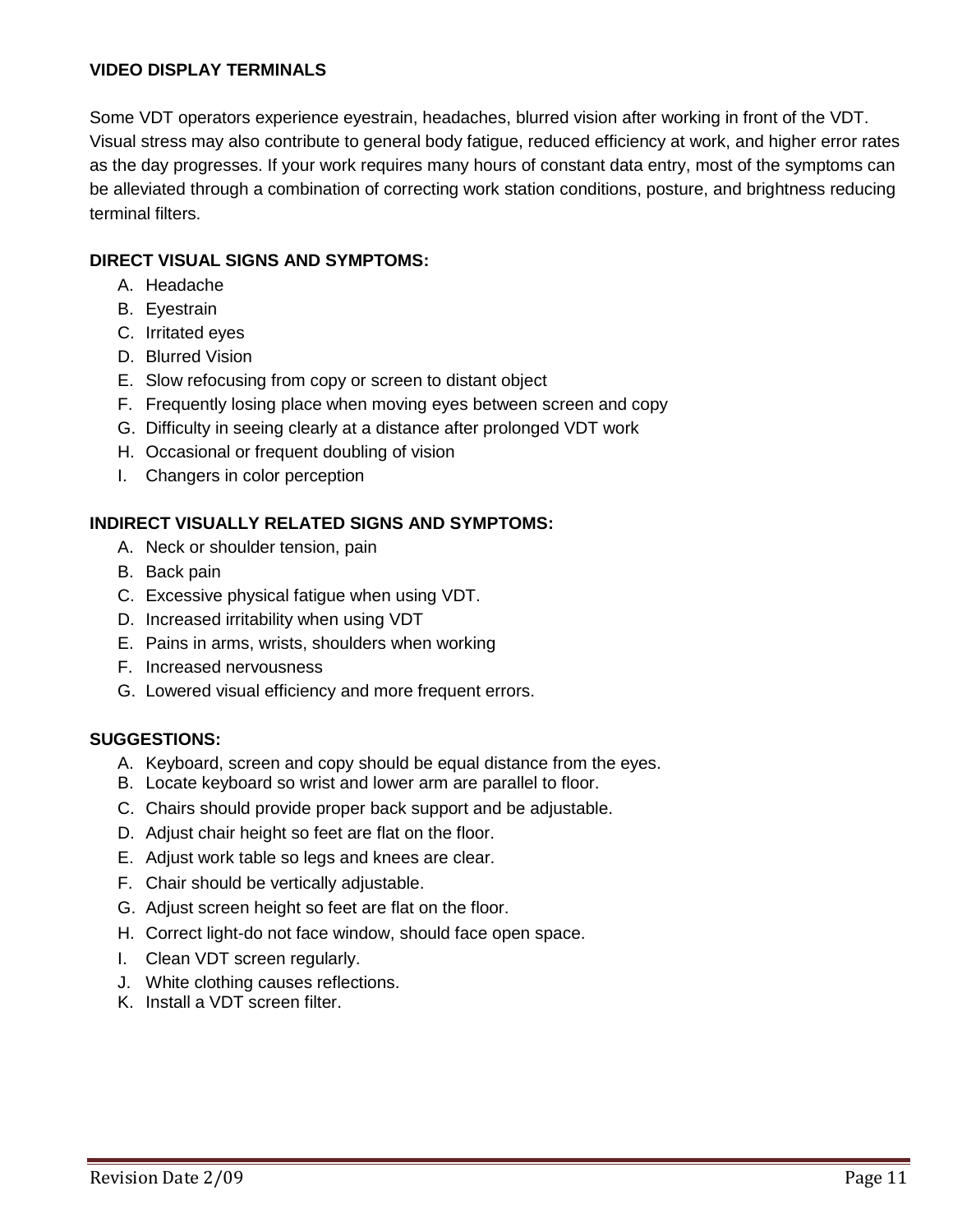## **VIDEO DISPLAY TERMINALS**

Some VDT operators experience eyestrain, headaches, blurred vision after working in front of the VDT. Visual stress may also contribute to general body fatigue, reduced efficiency at work, and higher error rates as the day progresses. If your work requires many hours of constant data entry, most of the symptoms can be alleviated through a combination of correcting work station conditions, posture, and brightness reducing terminal filters.

## **DIRECT VISUAL SIGNS AND SYMPTOMS:**

- A. Headache
- B. Eyestrain
- C. Irritated eyes
- D. Blurred Vision
- E. Slow refocusing from copy or screen to distant object
- F. Frequently losing place when moving eyes between screen and copy
- G. Difficulty in seeing clearly at a distance after prolonged VDT work
- H. Occasional or frequent doubling of vision
- I. Changers in color perception

## **INDIRECT VISUALLY RELATED SIGNS AND SYMPTOMS:**

- A. Neck or shoulder tension, pain
- B. Back pain
- C. Excessive physical fatigue when using VDT.
- D. Increased irritability when using VDT
- E. Pains in arms, wrists, shoulders when working
- F. Increased nervousness
- G. Lowered visual efficiency and more frequent errors.

### **SUGGESTIONS:**

- A. Keyboard, screen and copy should be equal distance from the eyes.
- B. Locate keyboard so wrist and lower arm are parallel to floor.
- C. Chairs should provide proper back support and be adjustable.
- D. Adjust chair height so feet are flat on the floor.
- E. Adjust work table so legs and knees are clear.
- F. Chair should be vertically adjustable.
- G. Adjust screen height so feet are flat on the floor.
- H. Correct light-do not face window, should face open space.
- I. Clean VDT screen regularly.
- J. White clothing causes reflections.
- K. Install a VDT screen filter.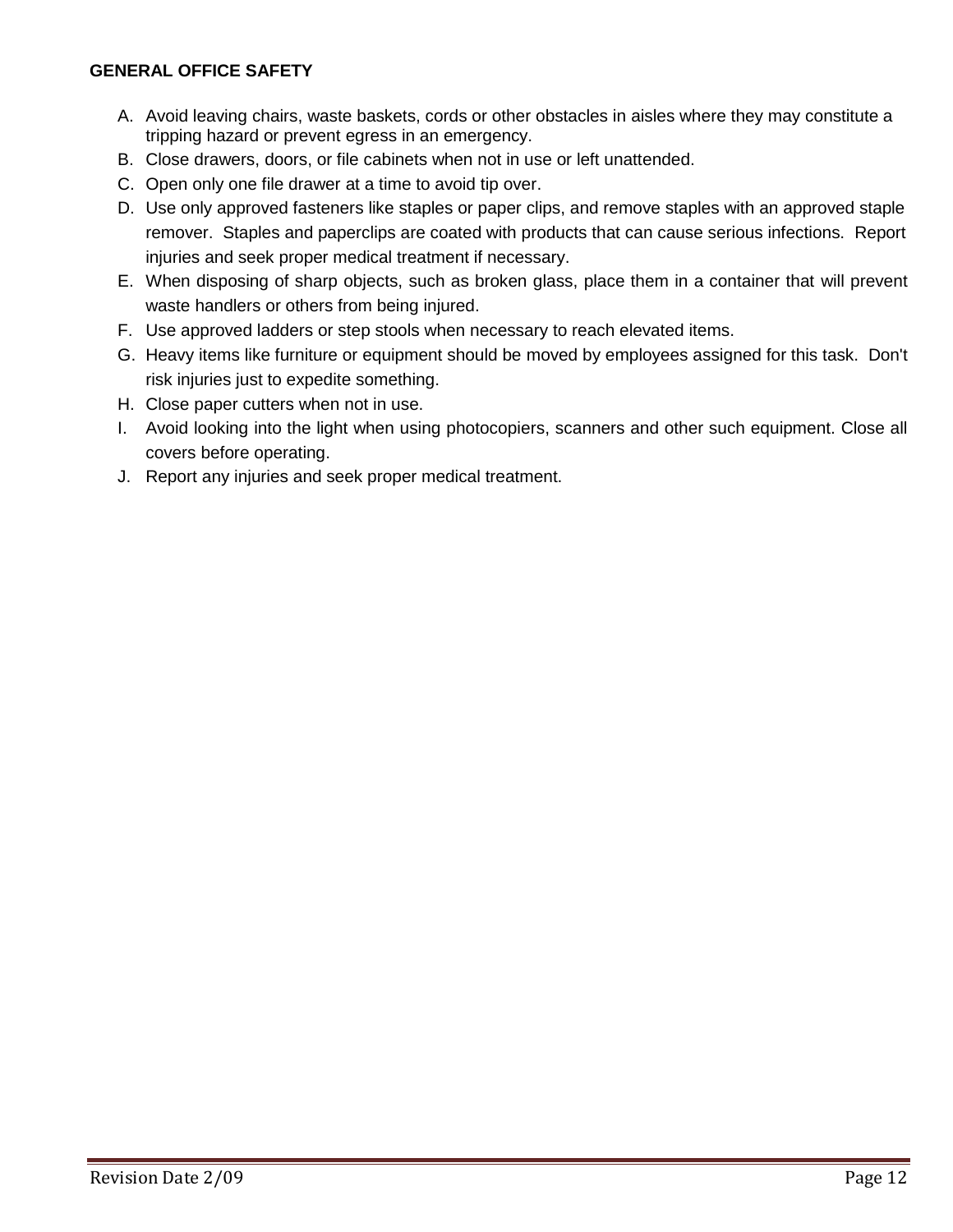### **GENERAL OFFICE SAFETY**

- A. Avoid leaving chairs, waste baskets, cords or other obstacles in aisles where they may constitute a tripping hazard or prevent egress in an emergency.
- B. Close drawers, doors, or file cabinets when not in use or left unattended.
- C. Open only one file drawer at a time to avoid tip over.
- D. Use only approved fasteners like staples or paper clips, and remove staples with an approved staple remover. Staples and paperclips are coated with products that can cause serious infections. Report injuries and seek proper medical treatment if necessary.
- E. When disposing of sharp objects, such as broken glass, place them in a container that will prevent waste handlers or others from being injured.
- F. Use approved ladders or step stools when necessary to reach elevated items.
- G. Heavy items like furniture or equipment should be moved by employees assigned for this task. Don't risk injuries just to expedite something.
- H. Close paper cutters when not in use.
- I. Avoid looking into the light when using photocopiers, scanners and other such equipment. Close all covers before operating.
- J. Report any injuries and seek proper medical treatment.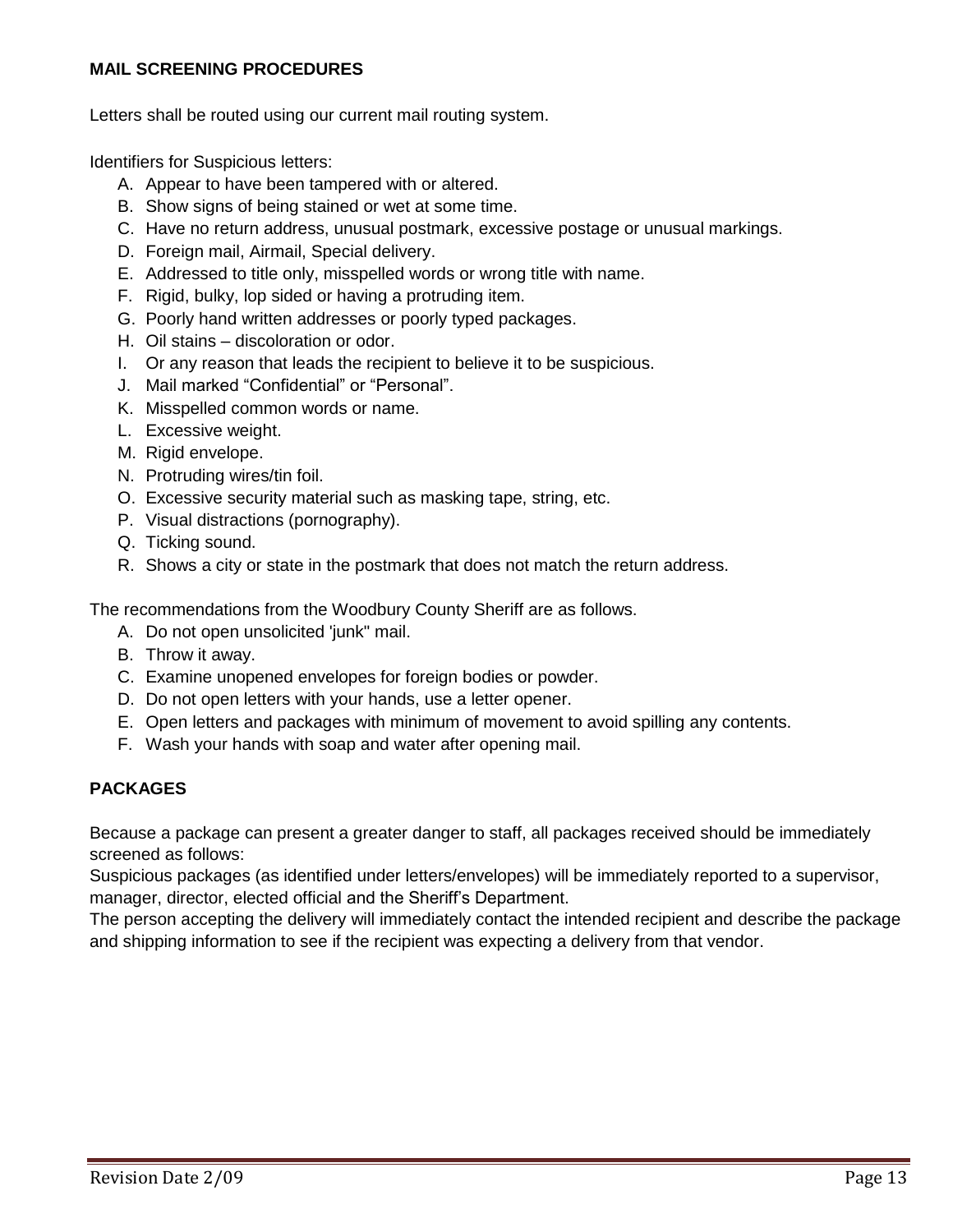## **MAIL SCREENING PROCEDURES**

Letters shall be routed using our current mail routing system.

Identifiers for Suspicious letters:

- A. Appear to have been tampered with or altered.
- B. Show signs of being stained or wet at some time.
- C. Have no return address, unusual postmark, excessive postage or unusual markings.
- D. Foreign mail, Airmail, Special delivery.
- E. Addressed to title only, misspelled words or wrong title with name.
- F. Rigid, bulky, lop sided or having a protruding item.
- G. Poorly hand written addresses or poorly typed packages.
- H. Oil stains discoloration or odor.
- I. Or any reason that leads the recipient to believe it to be suspicious.
- J. Mail marked "Confidential" or "Personal".
- K. Misspelled common words or name.
- L. Excessive weight.
- M. Rigid envelope.
- N. Protruding wires/tin foil.
- O. Excessive security material such as masking tape, string, etc.
- P. Visual distractions (pornography).
- Q. Ticking sound.
- R. Shows a city or state in the postmark that does not match the return address.

The recommendations from the Woodbury County Sheriff are as follows.

- A. Do not open unsolicited 'junk" mail.
- B. Throw it away.
- C. Examine unopened envelopes for foreign bodies or powder.
- D. Do not open letters with your hands, use a letter opener.
- E. Open letters and packages with minimum of movement to avoid spilling any contents.
- F. Wash your hands with soap and water after opening mail.

## **PACKAGES**

Because a package can present a greater danger to staff, all packages received should be immediately screened as follows:

Suspicious packages (as identified under letters/envelopes) will be immediately reported to a supervisor, manager, director, elected official and the Sheriff's Department.

The person accepting the delivery will immediately contact the intended recipient and describe the package and shipping information to see if the recipient was expecting a delivery from that vendor.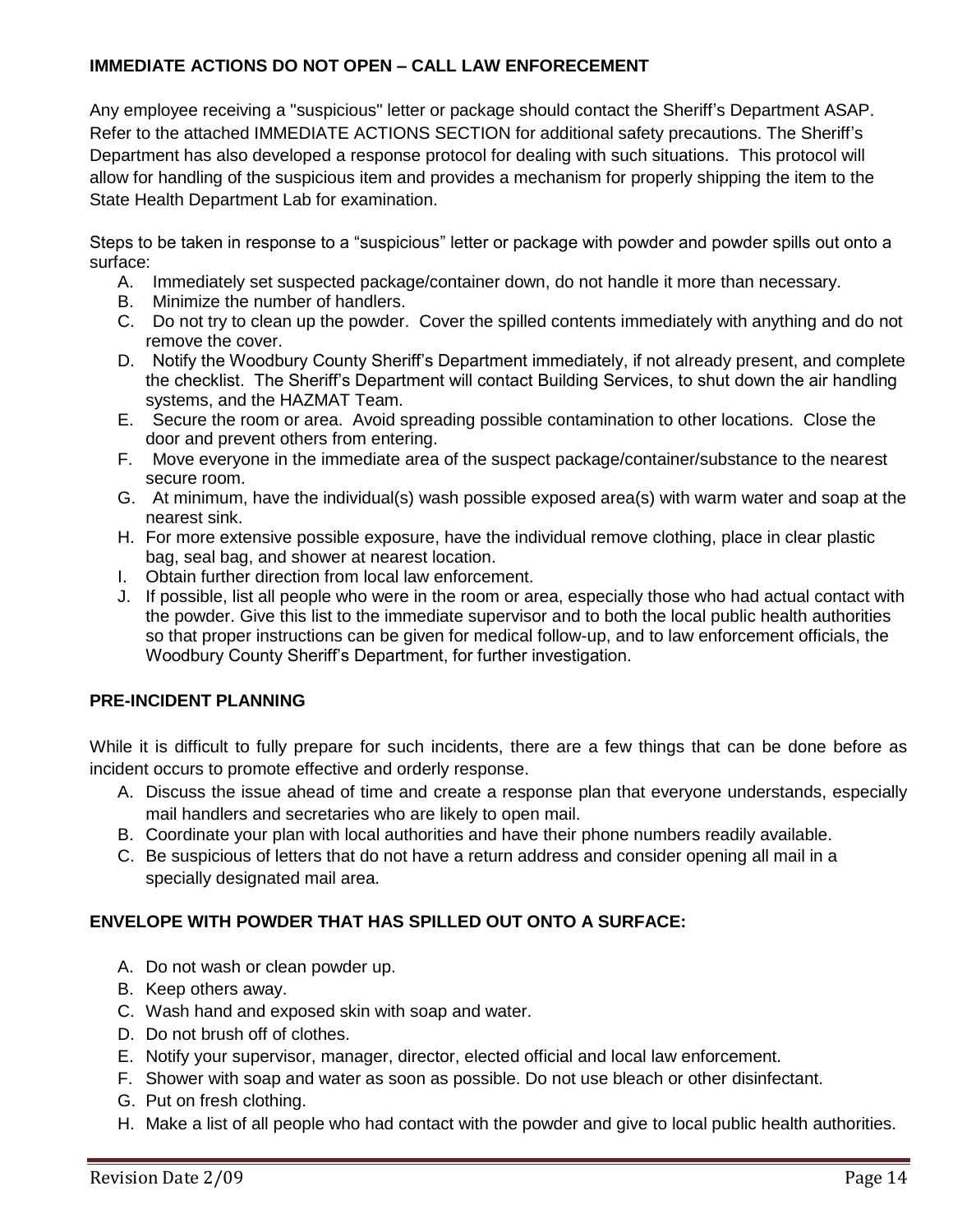## **IMMEDIATE ACTIONS DO NOT OPEN – CALL LAW ENFORECEMENT**

Any employee receiving a "suspicious" letter or package should contact the Sheriff's Department ASAP. Refer to the attached IMMEDIATE ACTIONS SECTION for additional safety precautions. The Sheriff's Department has also developed a response protocol for dealing with such situations. This protocol will allow for handling of the suspicious item and provides a mechanism for properly shipping the item to the State Health Department Lab for examination.

Steps to be taken in response to a "suspicious" letter or package with powder and powder spills out onto a surface:

- A. Immediately set suspected package/container down, do not handle it more than necessary.
- B. Minimize the number of handlers.
- C. Do not try to clean up the powder. Cover the spilled contents immediately with anything and do not remove the cover.
- D. Notify the Woodbury County Sheriff's Department immediately, if not already present, and complete the checklist. The Sheriff's Department will contact Building Services, to shut down the air handling systems, and the HAZMAT Team.
- E. Secure the room or area. Avoid spreading possible contamination to other locations. Close the door and prevent others from entering.
- F. Move everyone in the immediate area of the suspect package/container/substance to the nearest secure room.
- G. At minimum, have the individual(s) wash possible exposed area(s) with warm water and soap at the nearest sink.
- H. For more extensive possible exposure, have the individual remove clothing, place in clear plastic bag, seal bag, and shower at nearest location.
- I. Obtain further direction from local law enforcement.
- J. If possible, list all people who were in the room or area, especially those who had actual contact with the powder. Give this list to the immediate supervisor and to both the local public health authorities so that proper instructions can be given for medical follow-up, and to law enforcement officials, the Woodbury County Sheriff's Department, for further investigation.

## **PRE-INCIDENT PLANNING**

While it is difficult to fully prepare for such incidents, there are a few things that can be done before as incident occurs to promote effective and orderly response.

- A. Discuss the issue ahead of time and create a response plan that everyone understands, especially mail handlers and secretaries who are likely to open mail.
- B. Coordinate your plan with local authorities and have their phone numbers readily available.
- C. Be suspicious of letters that do not have a return address and consider opening all mail in a specially designated mail area.

## **ENVELOPE WITH POWDER THAT HAS SPILLED OUT ONTO A SURFACE:**

- A. Do not wash or clean powder up.
- B. Keep others away.
- C. Wash hand and exposed skin with soap and water.
- D. Do not brush off of clothes.
- E. Notify your supervisor, manager, director, elected official and local law enforcement.
- F. Shower with soap and water as soon as possible. Do not use bleach or other disinfectant.
- G. Put on fresh clothing.
- H. Make a list of all people who had contact with the powder and give to local public health authorities.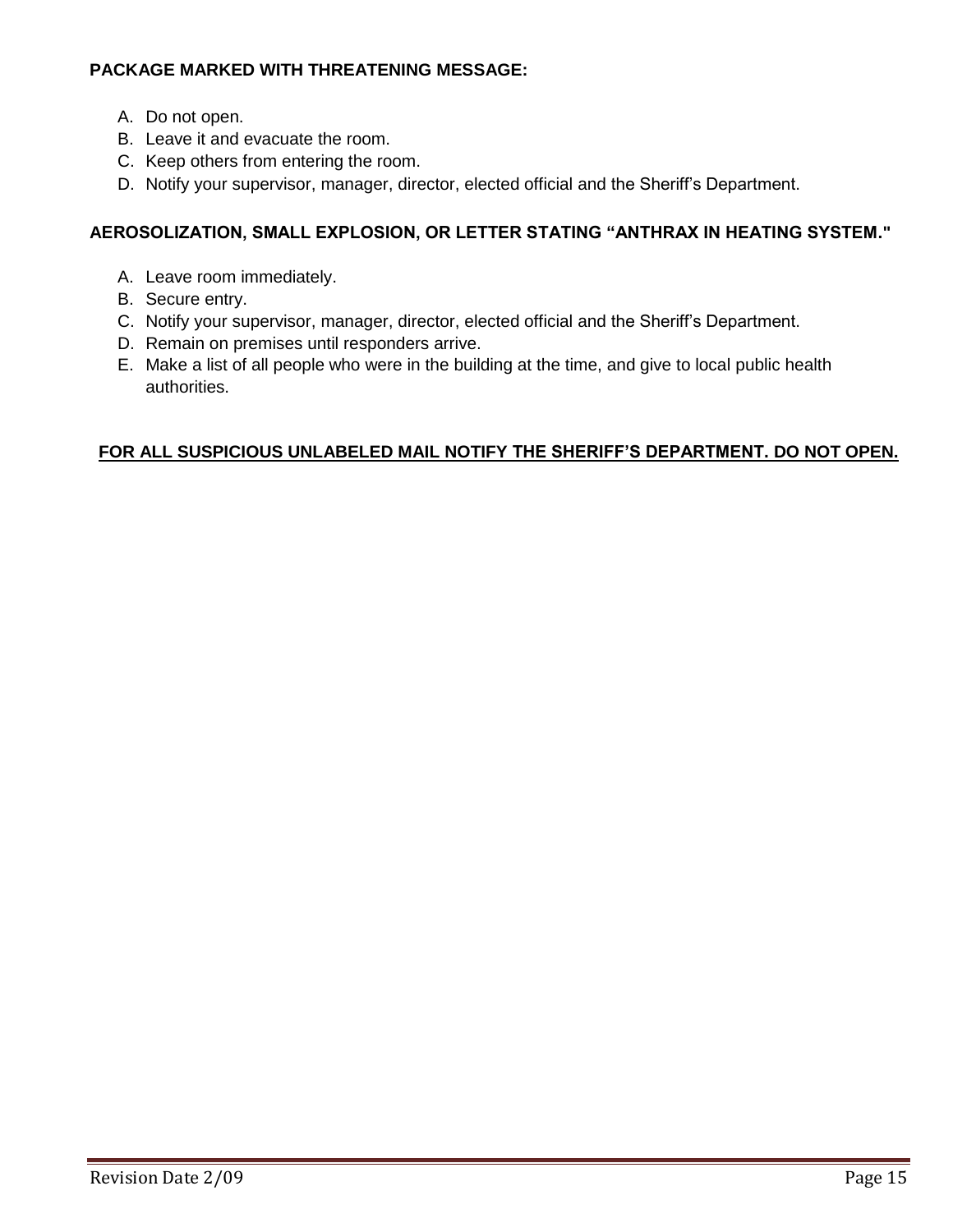# **PACKAGE MARKED WITH THREATENING MESSAGE:**

- A. Do not open.
- B. Leave it and evacuate the room.
- C. Keep others from entering the room.
- D. Notify your supervisor, manager, director, elected official and the Sheriff's Department.

## **AEROSOLIZATION, SMALL EXPLOSION, OR LETTER STATING "ANTHRAX IN HEATING SYSTEM."**

- A. Leave room immediately.
- B. Secure entry.
- C. Notify your supervisor, manager, director, elected official and the Sheriff's Department.
- D. Remain on premises until responders arrive.
- E. Make a list of all people who were in the building at the time, and give to local public health authorities.

# **FOR ALL SUSPICIOUS UNLABELED MAIL NOTIFY THE SHERIFF'S DEPARTMENT. DO NOT OPEN.**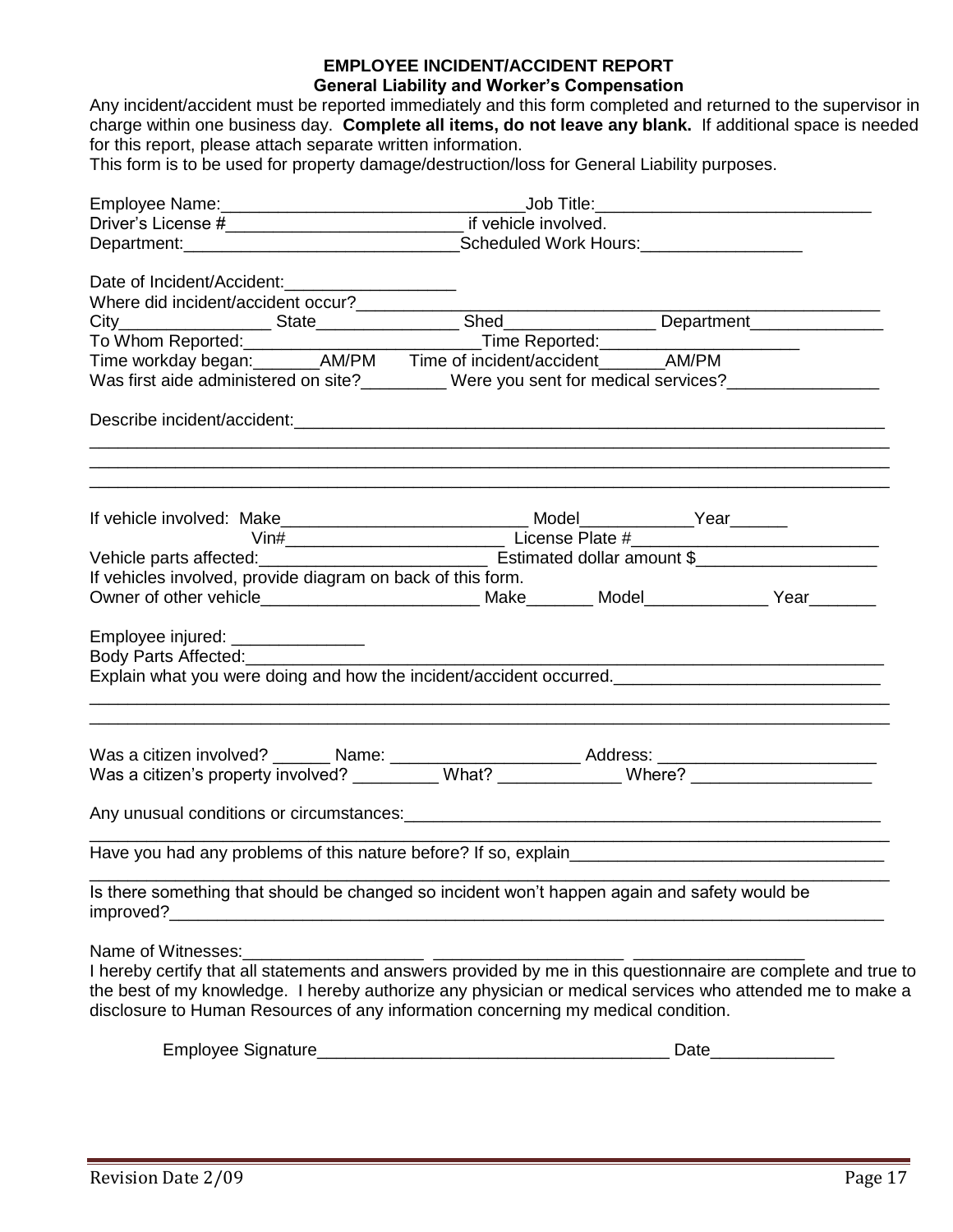## **EMPLOYEE INCIDENT/ACCIDENT REPORT**

### **General Liability and Worker's Compensation**

Any incident/accident must be reported immediately and this form completed and returned to the supervisor in charge within one business day. **Complete all items, do not leave any blank.** If additional space is needed for this report, please attach separate written information.

This form is to be used for property damage/destruction/loss for General Liability purposes.

| Date of Incident/Accident:____________________                                                                                                                                                |
|-----------------------------------------------------------------------------------------------------------------------------------------------------------------------------------------------|
|                                                                                                                                                                                               |
|                                                                                                                                                                                               |
|                                                                                                                                                                                               |
|                                                                                                                                                                                               |
|                                                                                                                                                                                               |
| Was first aide administered on site?_________ Were you sent for medical services?_________________                                                                                            |
|                                                                                                                                                                                               |
|                                                                                                                                                                                               |
| <u> 1980 - Jan Stein Stein Stein Stein Stein Stein Stein Stein Stein Stein Stein Stein Stein Stein Stein Stein S</u>                                                                          |
|                                                                                                                                                                                               |
|                                                                                                                                                                                               |
|                                                                                                                                                                                               |
| If vehicles involved, provide diagram on back of this form.                                                                                                                                   |
|                                                                                                                                                                                               |
| Employee injured: _______________                                                                                                                                                             |
| Explain what you were doing and how the incident/accident occurred.                                                                                                                           |
|                                                                                                                                                                                               |
|                                                                                                                                                                                               |
|                                                                                                                                                                                               |
|                                                                                                                                                                                               |
| Have you had any problems of this nature before? If so, explain                                                                                                                               |
| Is there something that should be changed so incident won't happen again and safety would be<br>improved?_                                                                                    |
| Name of Witnesses:                                                                                                                                                                            |
| I hereby certify that all statements and answers provided by me in this questionnaire are complete and true to                                                                                |
| the best of my knowledge. I hereby authorize any physician or medical services who attended me to make a<br>disclosure to Human Resources of any information concerning my medical condition. |

| <b>STATE</b><br>signature<br>wee<br>וכ<br>- |  |
|---------------------------------------------|--|
|                                             |  |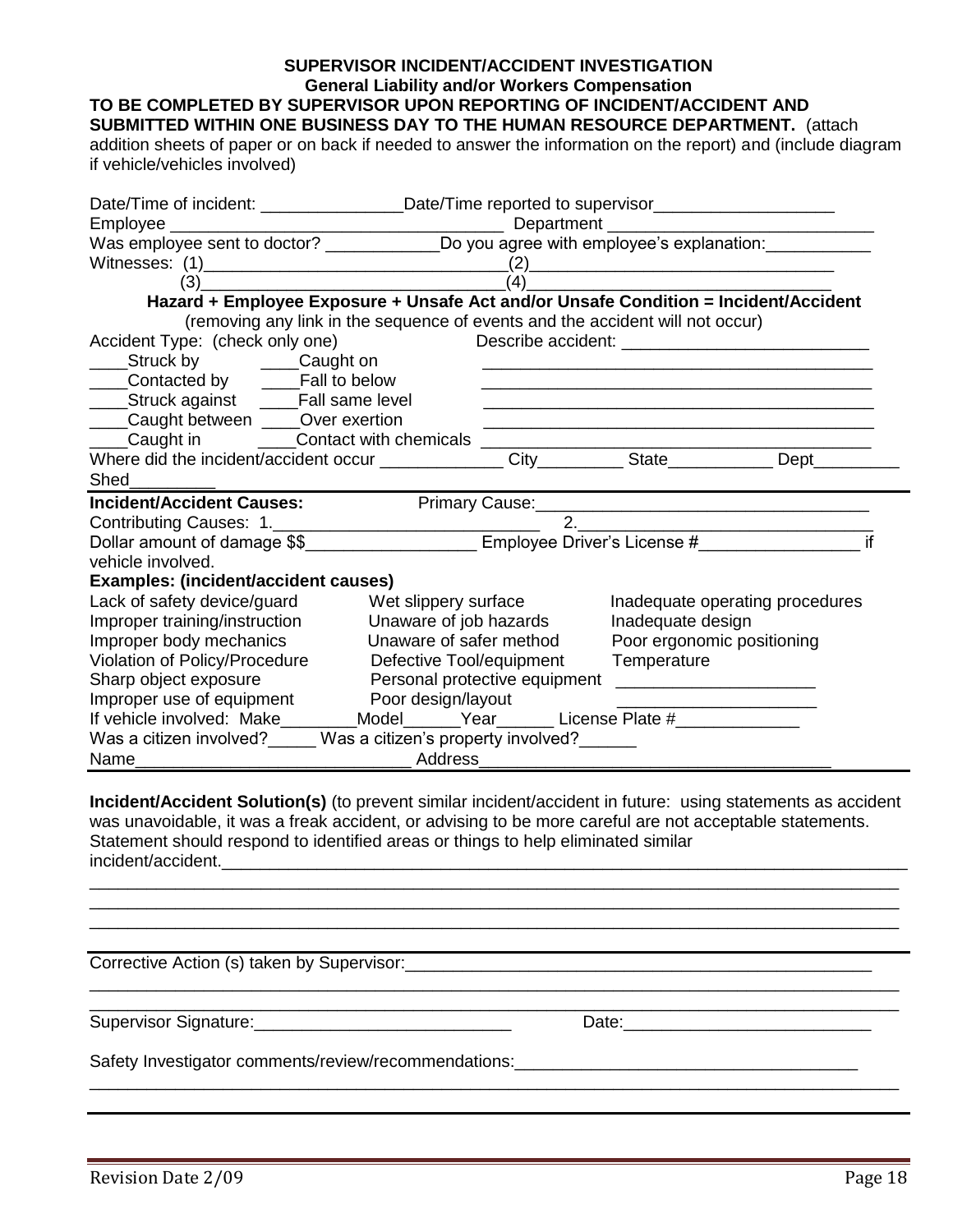#### **SUPERVISOR INCIDENT/ACCIDENT INVESTIGATION General Liability and/or Workers Compensation TO BE COMPLETED BY SUPERVISOR UPON REPORTING OF INCIDENT/ACCIDENT AND**

**SUBMITTED WITHIN ONE BUSINESS DAY TO THE HUMAN RESOURCE DEPARTMENT.** (attach

addition sheets of paper or on back if needed to answer the information on the report) and (include diagram if vehicle/vehicles involved)

| Date/Time of incident: ______________________Date/Time reported to supervisor______________________            |                                                                                                                       |
|----------------------------------------------------------------------------------------------------------------|-----------------------------------------------------------------------------------------------------------------------|
|                                                                                                                |                                                                                                                       |
|                                                                                                                |                                                                                                                       |
|                                                                                                                |                                                                                                                       |
| $\overrightarrow{a}$ (3) $\overrightarrow{a}$ (4) $\overrightarrow{a}$                                         |                                                                                                                       |
| Hazard + Employee Exposure + Unsafe Act and/or Unsafe Condition = Incident/Accident                            |                                                                                                                       |
| (removing any link in the sequence of events and the accident will not occur)                                  |                                                                                                                       |
| Accident Type: (check only one)                                                                                |                                                                                                                       |
| ____Struck by ______Caught on                                                                                  |                                                                                                                       |
| ____Contacted by _____Fall to below                                                                            | <u> 1989 - Johann Stoff, deutscher Stoff, der Stoff, der Stoff, der Stoff, der Stoff, der Stoff, der Stoff, der S</u> |
| _____Struck against _____Fall same level                                                                       |                                                                                                                       |
| ____Caught between ____Over exertion                                                                           | <u> 1989 - Johann Barn, amerikan bernama di sebagai bernama di sebagai bernama di sebagai bernama di sebagai bern</u> |
| Laught in Contact with chemicals Concentration and Contact with chemicals Contact Contact Contact Contact Musl |                                                                                                                       |
|                                                                                                                |                                                                                                                       |
| <b>Shed Shed</b>                                                                                               |                                                                                                                       |
| <b>Incident/Accident Causes:</b>                                                                               | Primary Cause: 2008 - 2009 - 2010 - 2010 - 2010 - 2010 - 2010 - 2010 - 2011 - 2012 - 2014 - 2012 - 2014 - 201         |
|                                                                                                                | $\begin{array}{c}\n2.\n\end{array}$                                                                                   |
| Dollar amount of damage \$\$_______________________ Employee Driver's License #______________________          | if                                                                                                                    |
| vehicle involved.                                                                                              |                                                                                                                       |
| Examples: (incident/accident causes)                                                                           |                                                                                                                       |
| Lack of safety device/guard Wet slippery surface                                                               | Inadequate operating procedures                                                                                       |
| Improper training/instruction<br>Unaware of job hazards                                                        | Inadequate design                                                                                                     |
| Improper body mechanics<br>Unaware of safer method                                                             | Poor ergonomic positioning                                                                                            |
| Violation of Policy/Procedure<br>Defective Tool/equipment                                                      | Temperature                                                                                                           |
| Sharp object exposure<br>Personal protective equipment ________________________                                |                                                                                                                       |
| Improper use of equipment Poor design/layout                                                                   |                                                                                                                       |
| If vehicle involved: Make________Model______Year______License Plate #___________                               |                                                                                                                       |
| Was a citizen involved? Was a citizen's property involved?                                                     |                                                                                                                       |
|                                                                                                                |                                                                                                                       |

**Incident/Accident Solution(s)** (to prevent similar incident/accident in future: using statements as accident was unavoidable, it was a freak accident, or advising to be more careful are not acceptable statements. Statement should respond to identified areas or things to help eliminated similar incident/accident.

\_\_\_\_\_\_\_\_\_\_\_\_\_\_\_\_\_\_\_\_\_\_\_\_\_\_\_\_\_\_\_\_\_\_\_\_\_\_\_\_\_\_\_\_\_\_\_\_\_\_\_\_\_\_\_\_\_\_\_\_\_\_\_\_\_\_\_\_\_\_\_\_\_\_\_\_\_\_\_\_\_\_\_\_\_ \_\_\_\_\_\_\_\_\_\_\_\_\_\_\_\_\_\_\_\_\_\_\_\_\_\_\_\_\_\_\_\_\_\_\_\_\_\_\_\_\_\_\_\_\_\_\_\_\_\_\_\_\_\_\_\_\_\_\_\_\_\_\_\_\_\_\_\_\_\_\_\_\_\_\_\_\_\_\_\_\_\_\_\_\_

\_\_\_\_\_\_\_\_\_\_\_\_\_\_\_\_\_\_\_\_\_\_\_\_\_\_\_\_\_\_\_\_\_\_\_\_\_\_\_\_\_\_\_\_\_\_\_\_\_\_\_\_\_\_\_\_\_\_\_\_\_\_\_\_\_\_\_\_\_\_\_\_\_\_\_\_\_\_\_\_\_\_\_\_\_

\_\_\_\_\_\_\_\_\_\_\_\_\_\_\_\_\_\_\_\_\_\_\_\_\_\_\_\_\_\_\_\_\_\_\_\_\_\_\_\_\_\_\_\_\_\_\_\_\_\_\_\_\_\_\_\_\_\_\_\_\_\_\_\_\_\_\_\_\_\_\_\_\_\_\_\_\_\_\_\_\_\_\_\_\_

Corrective Action (s) taken by Supervisor:\_\_\_\_\_\_\_\_\_\_\_\_\_\_\_\_\_\_\_\_\_\_\_\_\_\_\_\_\_\_\_\_\_\_\_\_\_\_\_\_\_\_\_\_\_\_\_\_\_

Supervisor Signature:\_\_\_\_\_\_\_\_\_\_\_\_\_\_\_\_\_\_\_\_\_\_\_\_\_\_\_ Date:\_\_\_\_\_\_\_\_\_\_\_\_\_\_\_\_\_\_\_\_\_\_\_\_\_\_

Safety Investigator comments/review/recommendations:\_\_\_\_\_\_\_\_\_\_\_\_\_\_\_\_\_\_\_\_\_\_\_\_\_\_\_\_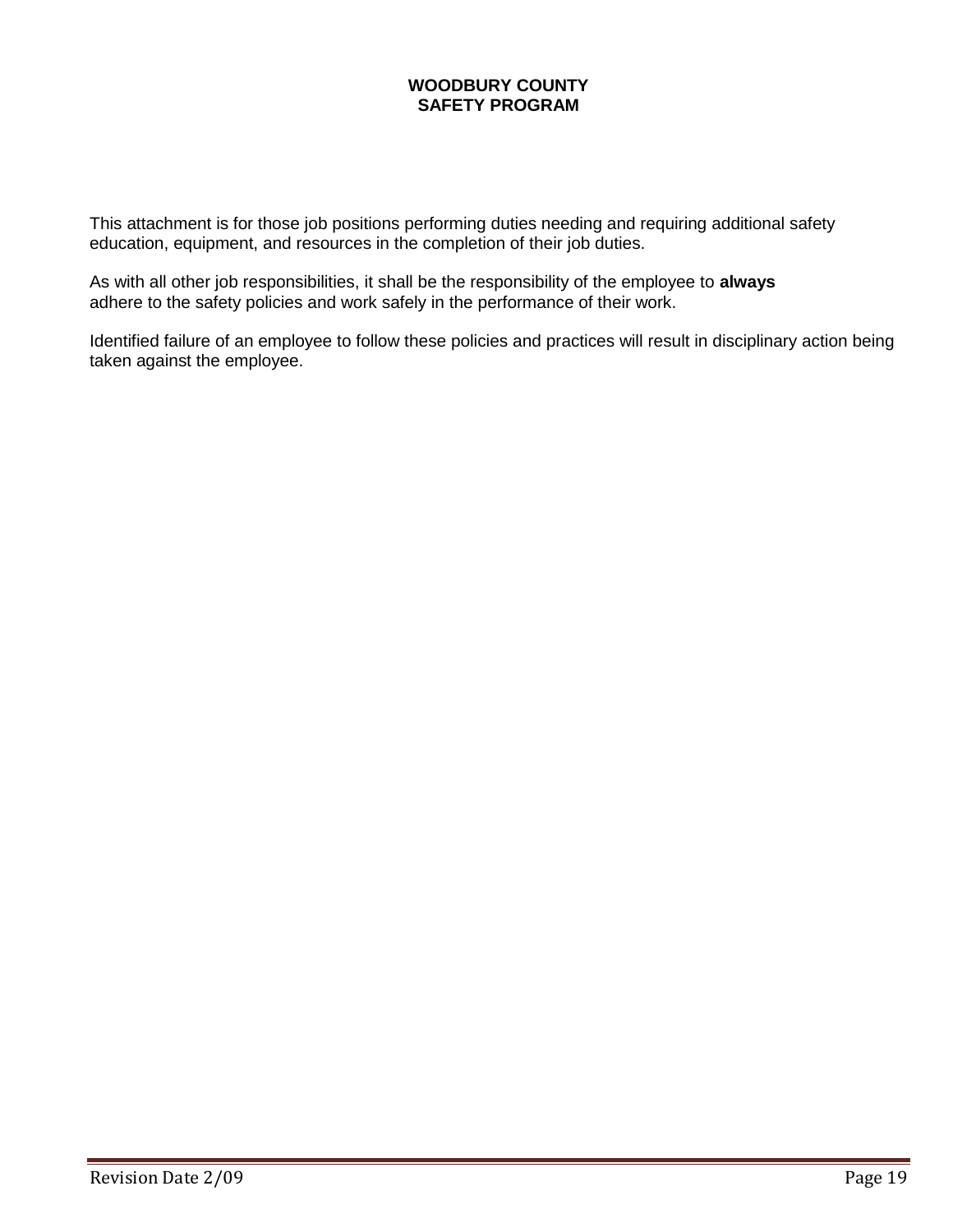## **WOODBURY COUNTY SAFETY PROGRAM**

This attachment is for those job positions performing duties needing and requiring additional safety education, equipment, and resources in the completion of their job duties.

As with all other job responsibilities, it shall be the responsibility of the employee to **always** adhere to the safety policies and work safely in the performance of their work.

Identified failure of an employee to follow these policies and practices will result in disciplinary action being taken against the employee.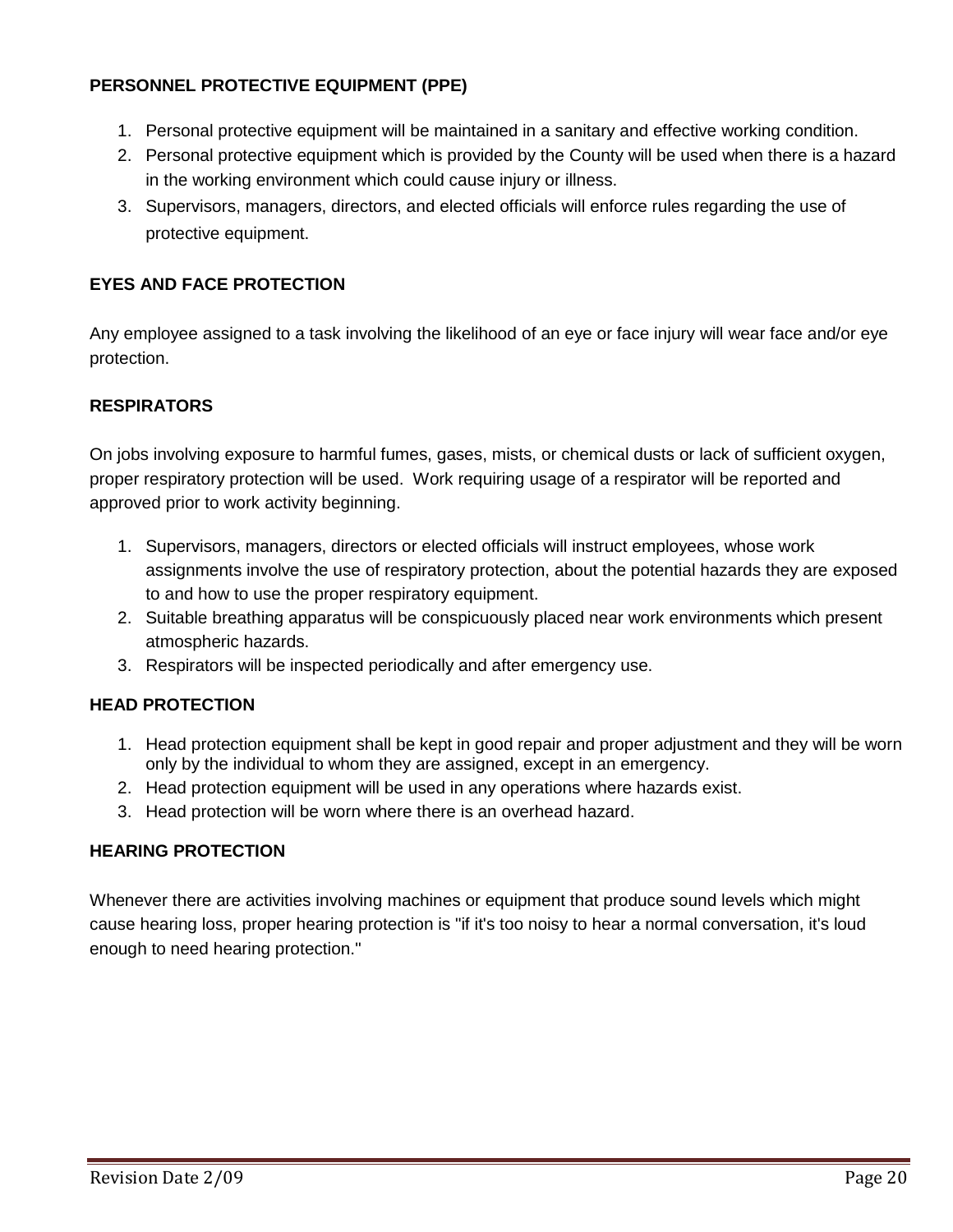# **PERSONNEL PROTECTIVE EQUIPMENT (PPE)**

- 1. Personal protective equipment will be maintained in a sanitary and effective working condition.
- 2. Personal protective equipment which is provided by the County will be used when there is a hazard in the working environment which could cause injury or illness.
- 3. Supervisors, managers, directors, and elected officials will enforce rules regarding the use of protective equipment.

## **EYES AND FACE PROTECTION**

Any employee assigned to a task involving the likelihood of an eye or face injury will wear face and/or eye protection.

# **RESPIRATORS**

On jobs involving exposure to harmful fumes, gases, mists, or chemical dusts or lack of sufficient oxygen, proper respiratory protection will be used. Work requiring usage of a respirator will be reported and approved prior to work activity beginning.

- 1. Supervisors, managers, directors or elected officials will instruct employees, whose work assignments involve the use of respiratory protection, about the potential hazards they are exposed to and how to use the proper respiratory equipment.
- 2. Suitable breathing apparatus will be conspicuously placed near work environments which present atmospheric hazards.
- 3. Respirators will be inspected periodically and after emergency use.

## **HEAD PROTECTION**

- 1. Head protection equipment shall be kept in good repair and proper adjustment and they will be worn only by the individual to whom they are assigned, except in an emergency.
- 2. Head protection equipment will be used in any operations where hazards exist.
- 3. Head protection will be worn where there is an overhead hazard.

## **HEARING PROTECTION**

Whenever there are activities involving machines or equipment that produce sound levels which might cause hearing loss, proper hearing protection is "if it's too noisy to hear a normal conversation, it's loud enough to need hearing protection."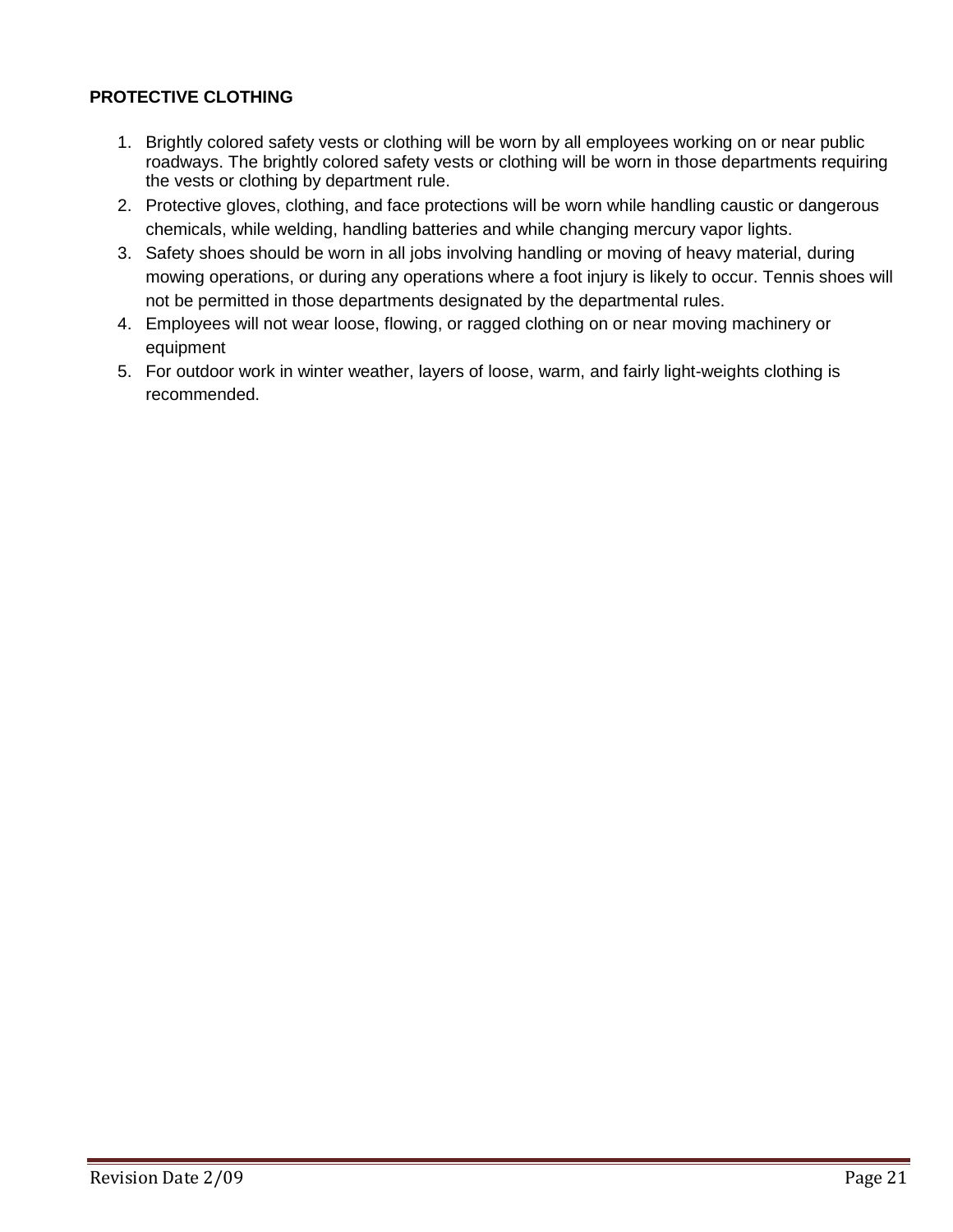# **PROTECTIVE CLOTHING**

- 1. Brightly colored safety vests or clothing will be worn by all employees working on or near public roadways. The brightly colored safety vests or clothing will be worn in those departments requiring the vests or clothing by department rule.
- 2. Protective gloves, clothing, and face protections will be worn while handling caustic or dangerous chemicals, while welding, handling batteries and while changing mercury vapor lights.
- 3. Safety shoes should be worn in all jobs involving handling or moving of heavy material, during mowing operations, or during any operations where a foot injury is likely to occur. Tennis shoes will not be permitted in those departments designated by the departmental rules.
- 4. Employees will not wear loose, flowing, or ragged clothing on or near moving machinery or equipment
- 5. For outdoor work in winter weather, layers of loose, warm, and fairly light-weights clothing is recommended.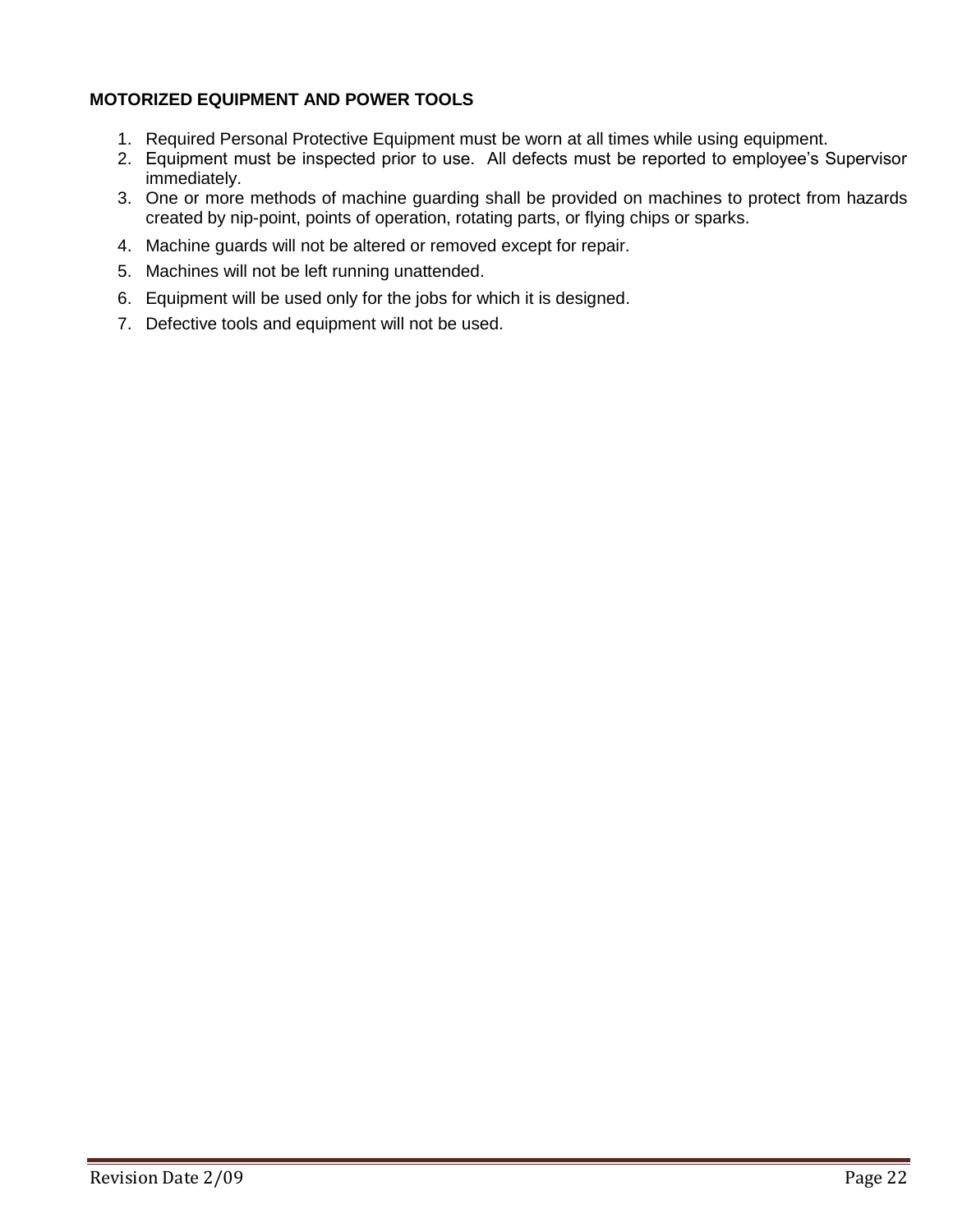## **MOTORIZED EQUIPMENT AND POWER TOOLS**

- 1. Required Personal Protective Equipment must be worn at all times while using equipment.
- 2. Equipment must be inspected prior to use. All defects must be reported to employee's Supervisor immediately.
- 3. One or more methods of machine guarding shall be provided on machines to protect from hazards created by nip-point, points of operation, rotating parts, or flying chips or sparks.
- 4. Machine guards will not be altered or removed except for repair.
- 5. Machines will not be left running unattended.
- 6. Equipment will be used only for the jobs for which it is designed.
- 7. Defective tools and equipment will not be used.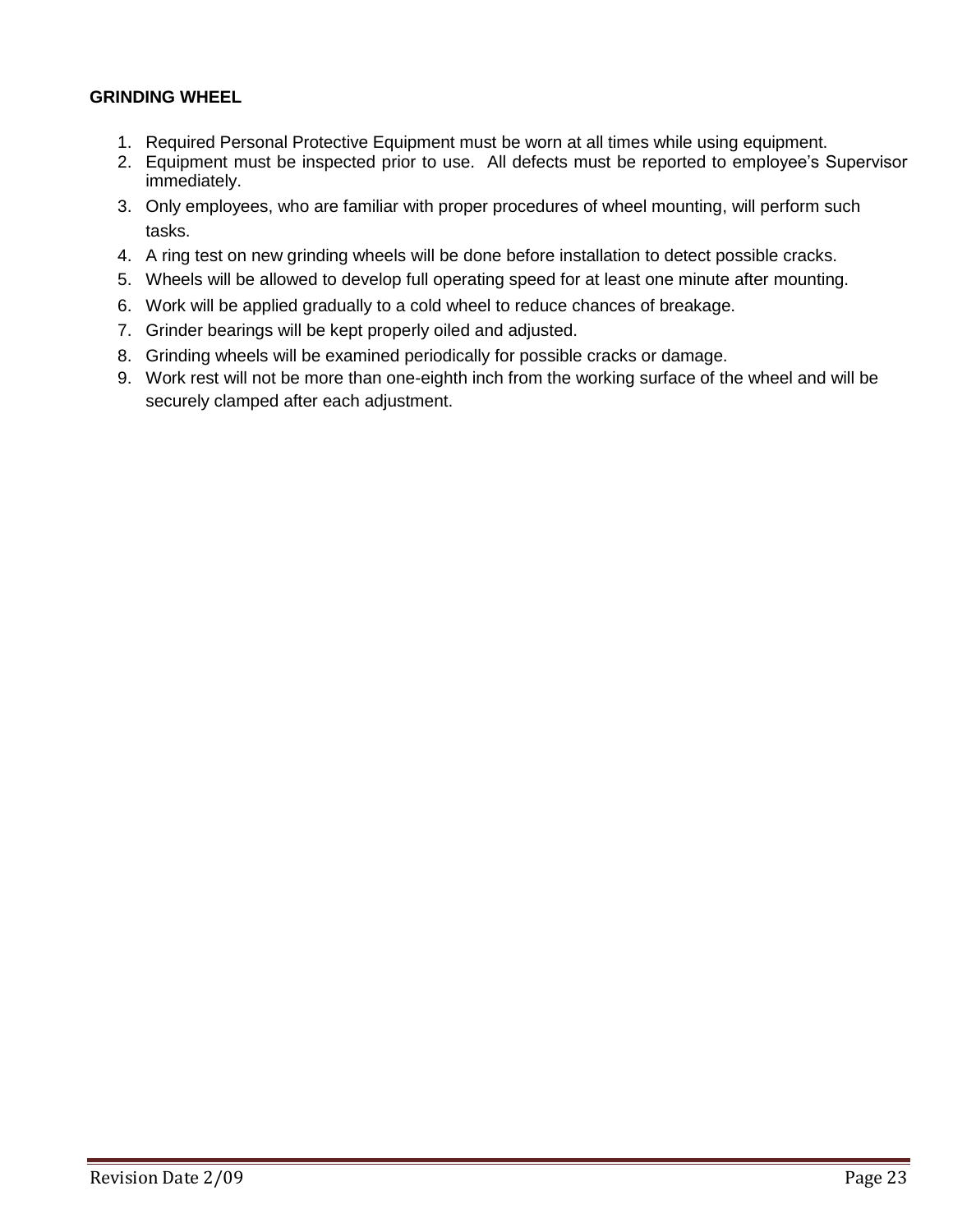## **GRINDING WHEEL**

- 1. Required Personal Protective Equipment must be worn at all times while using equipment.
- 2. Equipment must be inspected prior to use. All defects must be reported to employee's Supervisor immediately.
- 3. Only employees, who are familiar with proper procedures of wheel mounting, will perform such tasks.
- 4. A ring test on new grinding wheels will be done before installation to detect possible cracks.
- 5. Wheels will be allowed to develop full operating speed for at least one minute after mounting.
- 6. Work will be applied gradually to a cold wheel to reduce chances of breakage.
- 7. Grinder bearings will be kept properly oiled and adjusted.
- 8. Grinding wheels will be examined periodically for possible cracks or damage.
- 9. Work rest will not be more than one-eighth inch from the working surface of the wheel and will be securely clamped after each adjustment.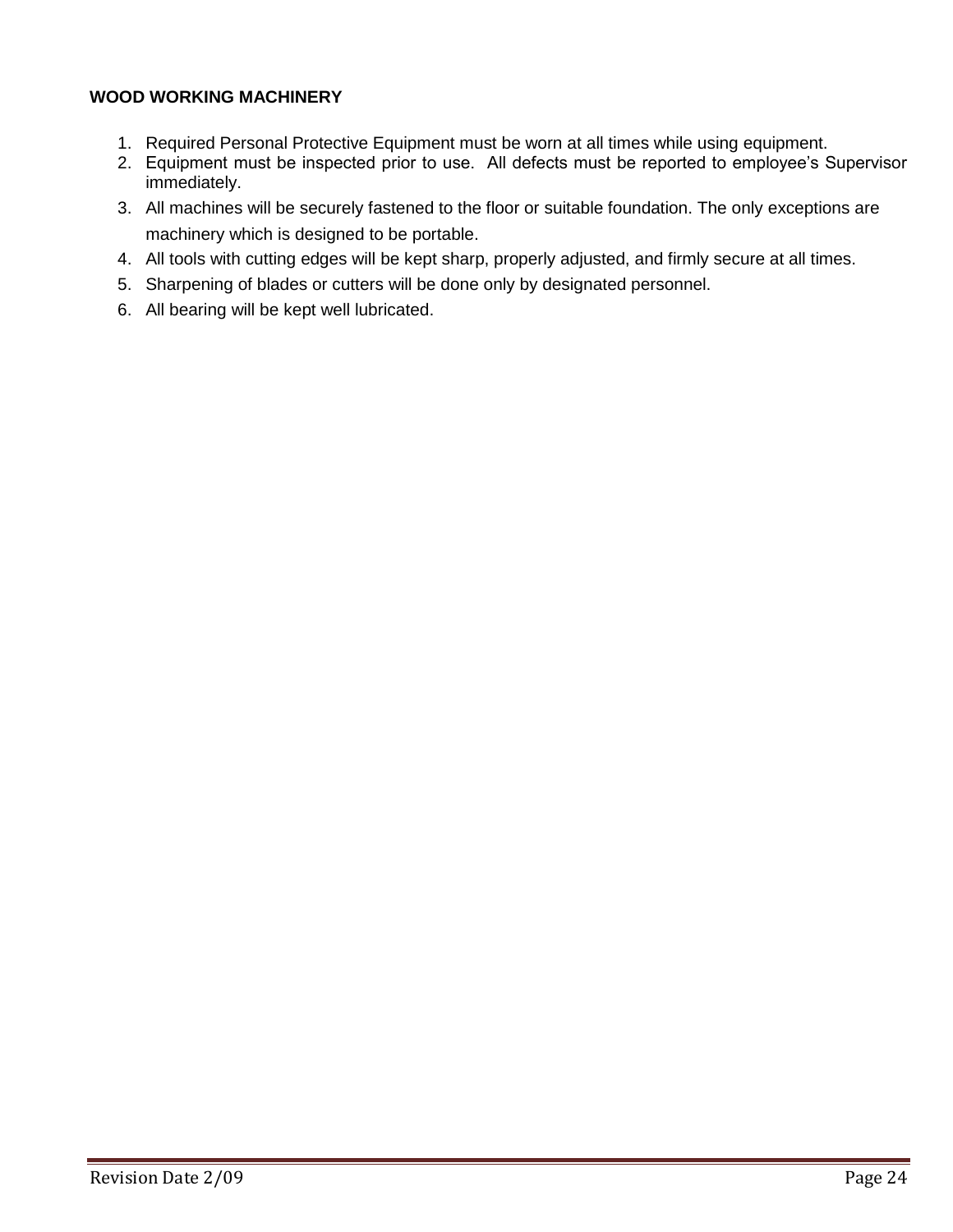## **WOOD WORKING MACHINERY**

- 1. Required Personal Protective Equipment must be worn at all times while using equipment.
- 2. Equipment must be inspected prior to use. All defects must be reported to employee's Supervisor immediately.
- 3. All machines will be securely fastened to the floor or suitable foundation. The only exceptions are machinery which is designed to be portable.
- 4. All tools with cutting edges will be kept sharp, properly adjusted, and firmly secure at all times.
- 5. Sharpening of blades or cutters will be done only by designated personnel.
- 6. All bearing will be kept well lubricated.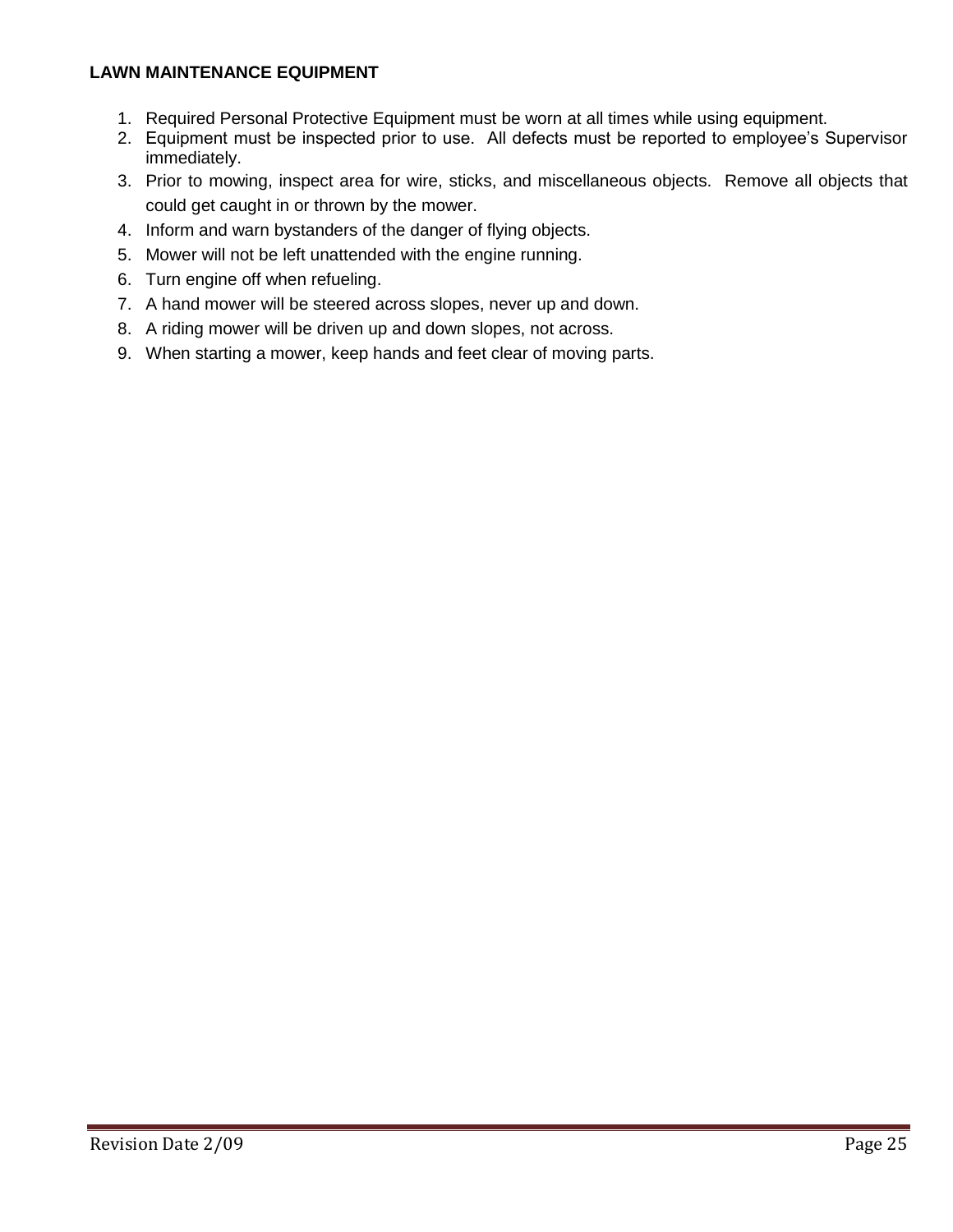## **LAWN MAINTENANCE EQUIPMENT**

- 1. Required Personal Protective Equipment must be worn at all times while using equipment.
- 2. Equipment must be inspected prior to use. All defects must be reported to employee's Supervisor immediately.
- 3. Prior to mowing, inspect area for wire, sticks, and miscellaneous objects. Remove all objects that could get caught in or thrown by the mower.
- 4. Inform and warn bystanders of the danger of flying objects.
- 5. Mower will not be left unattended with the engine running.
- 6. Turn engine off when refueling.
- 7. A hand mower will be steered across slopes, never up and down.
- 8. A riding mower will be driven up and down slopes, not across.
- 9. When starting a mower, keep hands and feet clear of moving parts.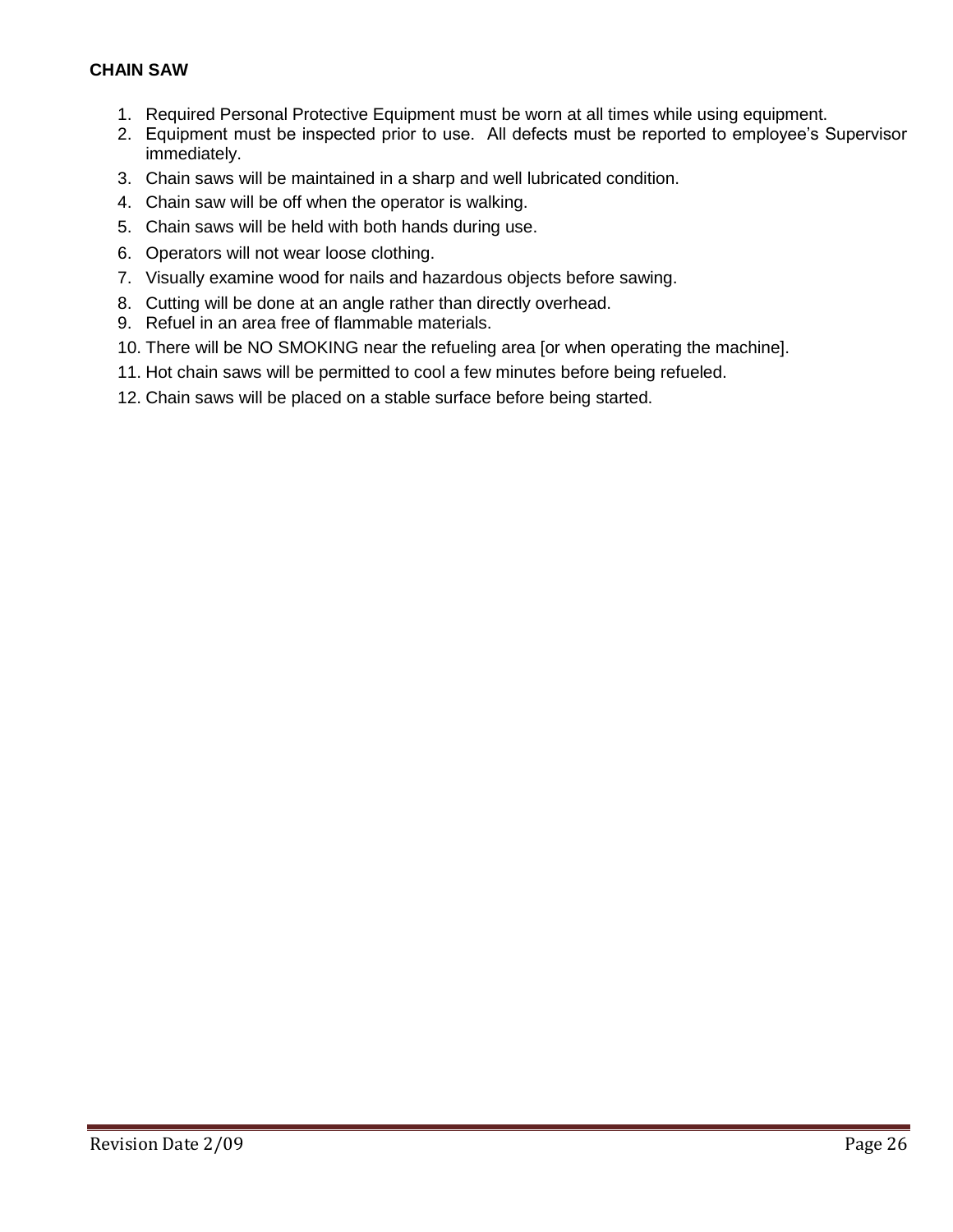## **CHAIN SAW**

- 1. Required Personal Protective Equipment must be worn at all times while using equipment.
- 2. Equipment must be inspected prior to use. All defects must be reported to employee's Supervisor immediately.
- 3. Chain saws will be maintained in a sharp and well lubricated condition.
- 4. Chain saw will be off when the operator is walking.
- 5. Chain saws will be held with both hands during use.
- 6. Operators will not wear loose clothing.
- 7. Visually examine wood for nails and hazardous objects before sawing.
- 8. Cutting will be done at an angle rather than directly overhead.
- 9. Refuel in an area free of flammable materials.
- 10. There will be NO SMOKING near the refueling area [or when operating the machine].
- 11. Hot chain saws will be permitted to cool a few minutes before being refueled.
- 12. Chain saws will be placed on a stable surface before being started.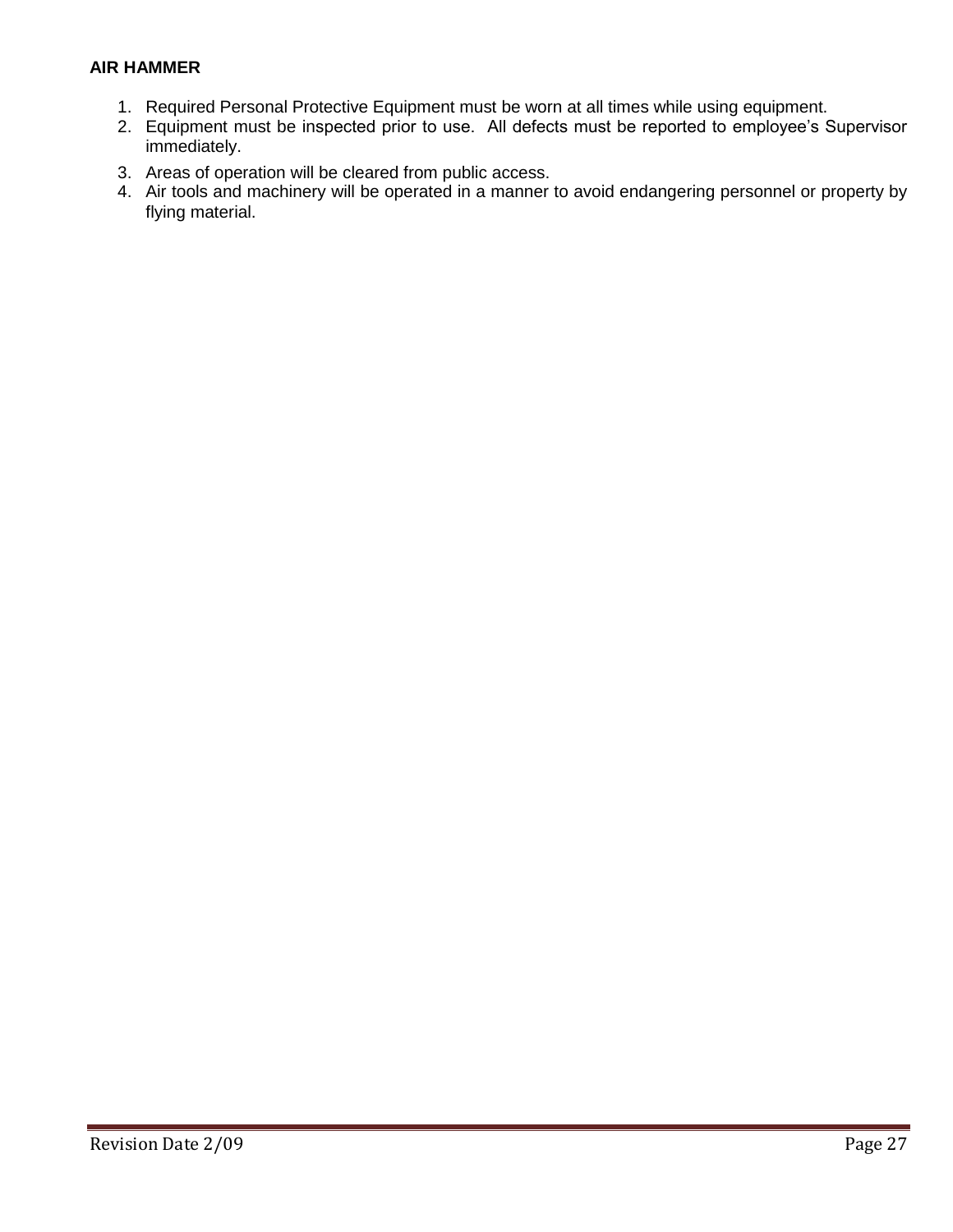## **AIR HAMMER**

- 1. Required Personal Protective Equipment must be worn at all times while using equipment.
- 2. Equipment must be inspected prior to use. All defects must be reported to employee's Supervisor immediately.
- 3. Areas of operation will be cleared from public access.
- 4. Air tools and machinery will be operated in a manner to avoid endangering personnel or property by flying material.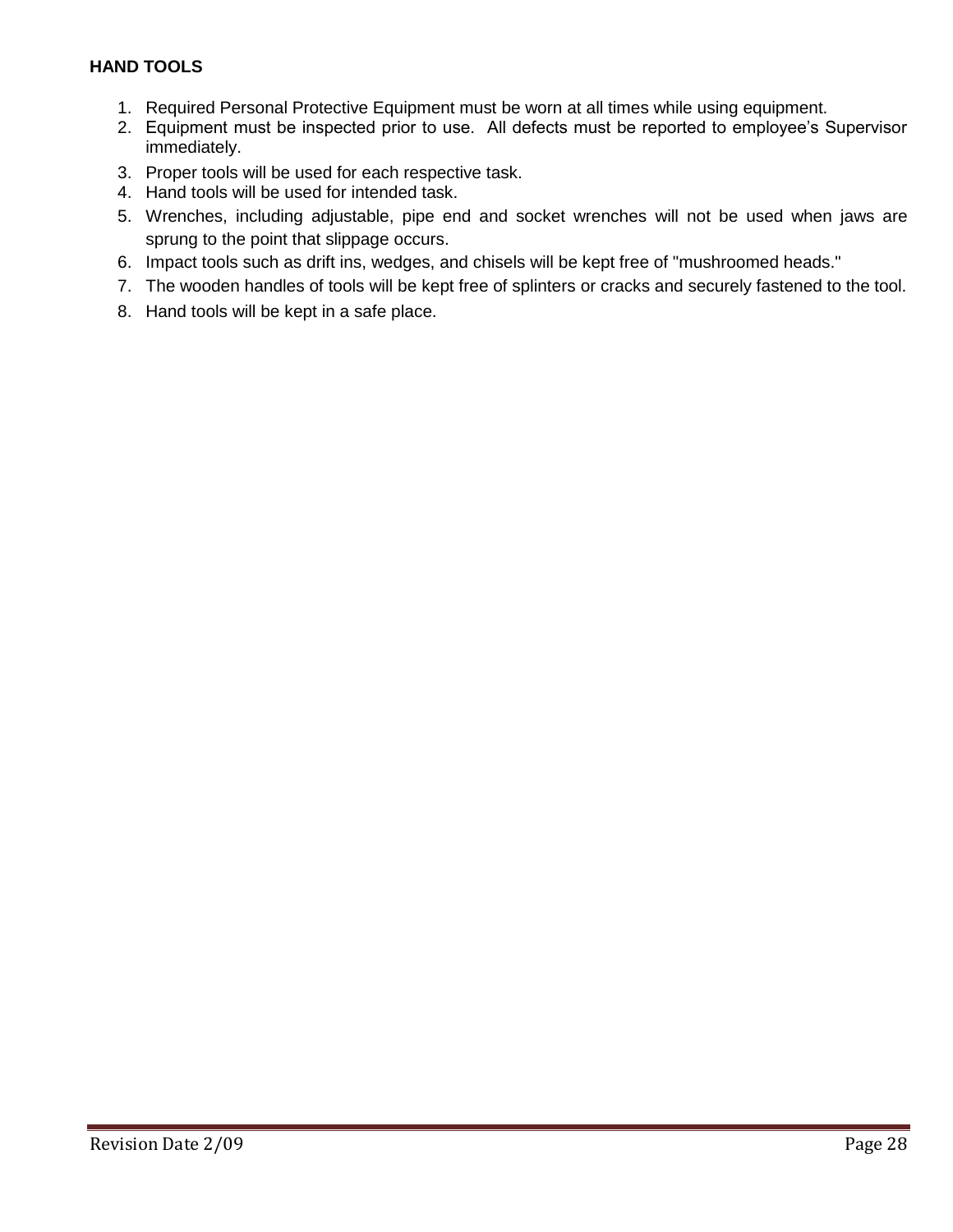## **HAND TOOLS**

- 1. Required Personal Protective Equipment must be worn at all times while using equipment.
- 2. Equipment must be inspected prior to use. All defects must be reported to employee's Supervisor immediately.
- 3. Proper tools will be used for each respective task.
- 4. Hand tools will be used for intended task.
- 5. Wrenches, including adjustable, pipe end and socket wrenches will not be used when jaws are sprung to the point that slippage occurs.
- 6. Impact tools such as drift ins, wedges, and chisels will be kept free of "mushroomed heads."
- 7. The wooden handles of tools will be kept free of splinters or cracks and securely fastened to the tool.
- 8. Hand tools will be kept in a safe place.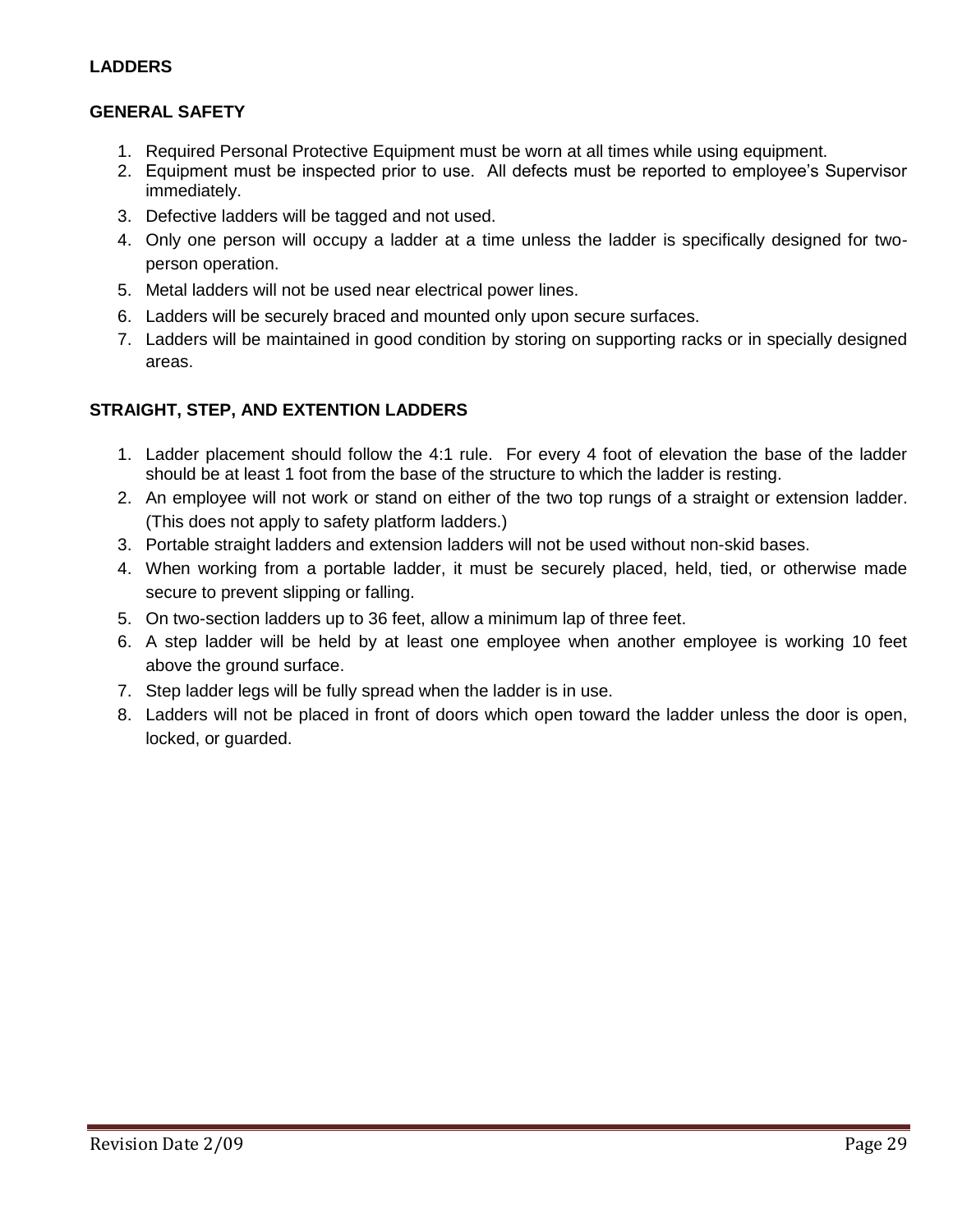## **LADDERS**

## **GENERAL SAFETY**

- 1. Required Personal Protective Equipment must be worn at all times while using equipment.
- 2. Equipment must be inspected prior to use. All defects must be reported to employee's Supervisor immediately.
- 3. Defective ladders will be tagged and not used.
- 4. Only one person will occupy a ladder at a time unless the ladder is specifically designed for twoperson operation.
- 5. Metal ladders will not be used near electrical power lines.
- 6. Ladders will be securely braced and mounted only upon secure surfaces.
- 7. Ladders will be maintained in good condition by storing on supporting racks or in specially designed areas.

## **STRAIGHT, STEP, AND EXTENTION LADDERS**

- 1. Ladder placement should follow the 4:1 rule. For every 4 foot of elevation the base of the ladder should be at least 1 foot from the base of the structure to which the ladder is resting.
- 2. An employee will not work or stand on either of the two top rungs of a straight or extension ladder. (This does not apply to safety platform ladders.)
- 3. Portable straight ladders and extension ladders will not be used without non-skid bases.
- 4. When working from a portable ladder, it must be securely placed, held, tied, or otherwise made secure to prevent slipping or falling.
- 5. On two-section ladders up to 36 feet, allow a minimum lap of three feet.
- 6. A step ladder will be held by at least one employee when another employee is working 10 feet above the ground surface.
- 7. Step ladder legs will be fully spread when the ladder is in use.
- 8. Ladders will not be placed in front of doors which open toward the ladder unless the door is open, locked, or guarded.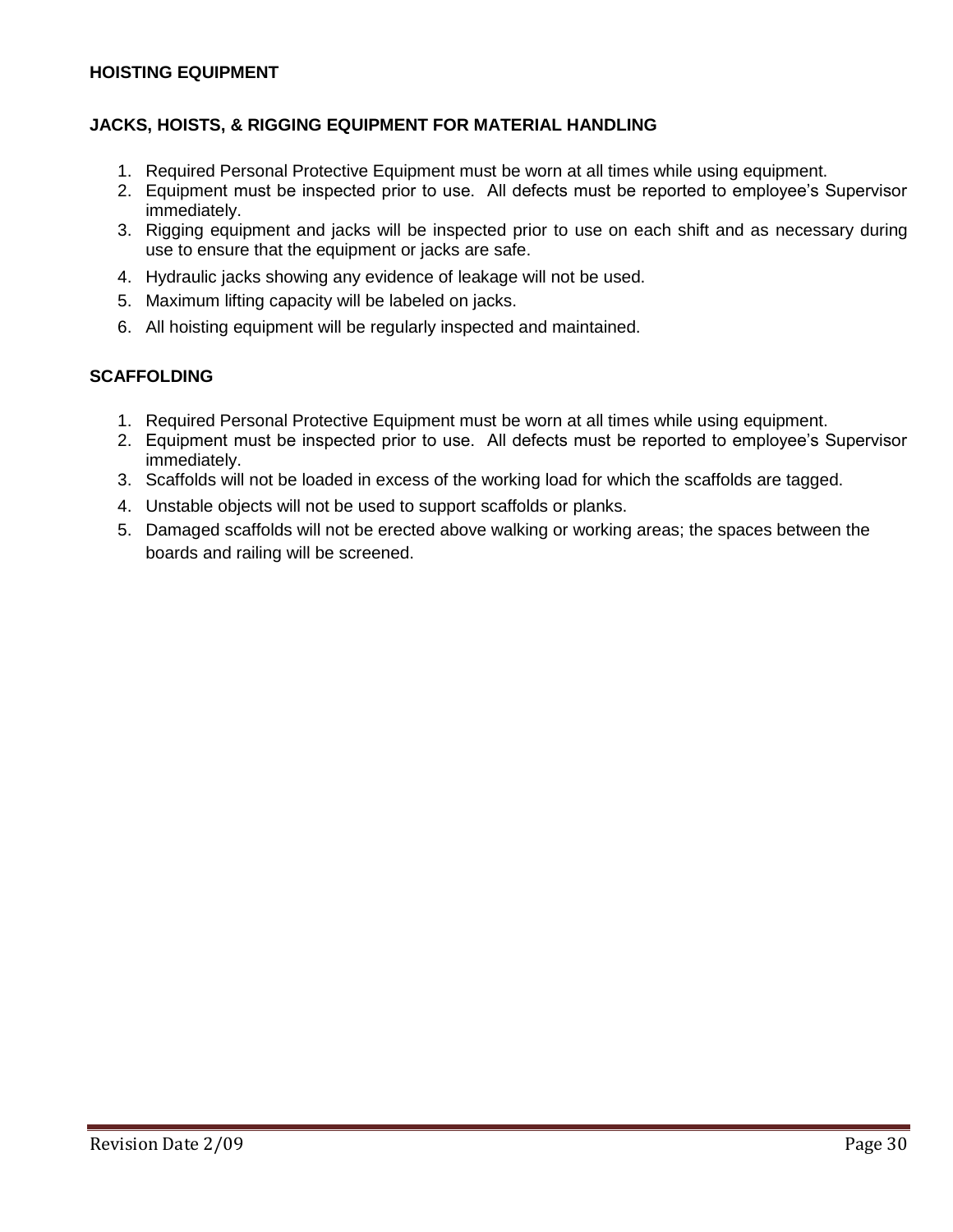### **HOISTING EQUIPMENT**

### **JACKS, HOISTS, & RIGGING EQUIPMENT FOR MATERIAL HANDLING**

- 1. Required Personal Protective Equipment must be worn at all times while using equipment.
- 2. Equipment must be inspected prior to use. All defects must be reported to employee's Supervisor immediately.
- 3. Rigging equipment and jacks will be inspected prior to use on each shift and as necessary during use to ensure that the equipment or jacks are safe.
- 4. Hydraulic jacks showing any evidence of leakage will not be used.
- 5. Maximum lifting capacity will be labeled on jacks.
- 6. All hoisting equipment will be regularly inspected and maintained.

### **SCAFFOLDING**

- 1. Required Personal Protective Equipment must be worn at all times while using equipment.
- 2. Equipment must be inspected prior to use. All defects must be reported to employee's Supervisor immediately.
- 3. Scaffolds will not be loaded in excess of the working load for which the scaffolds are tagged.
- 4. Unstable objects will not be used to support scaffolds or planks.
- 5. Damaged scaffolds will not be erected above walking or working areas; the spaces between the boards and railing will be screened.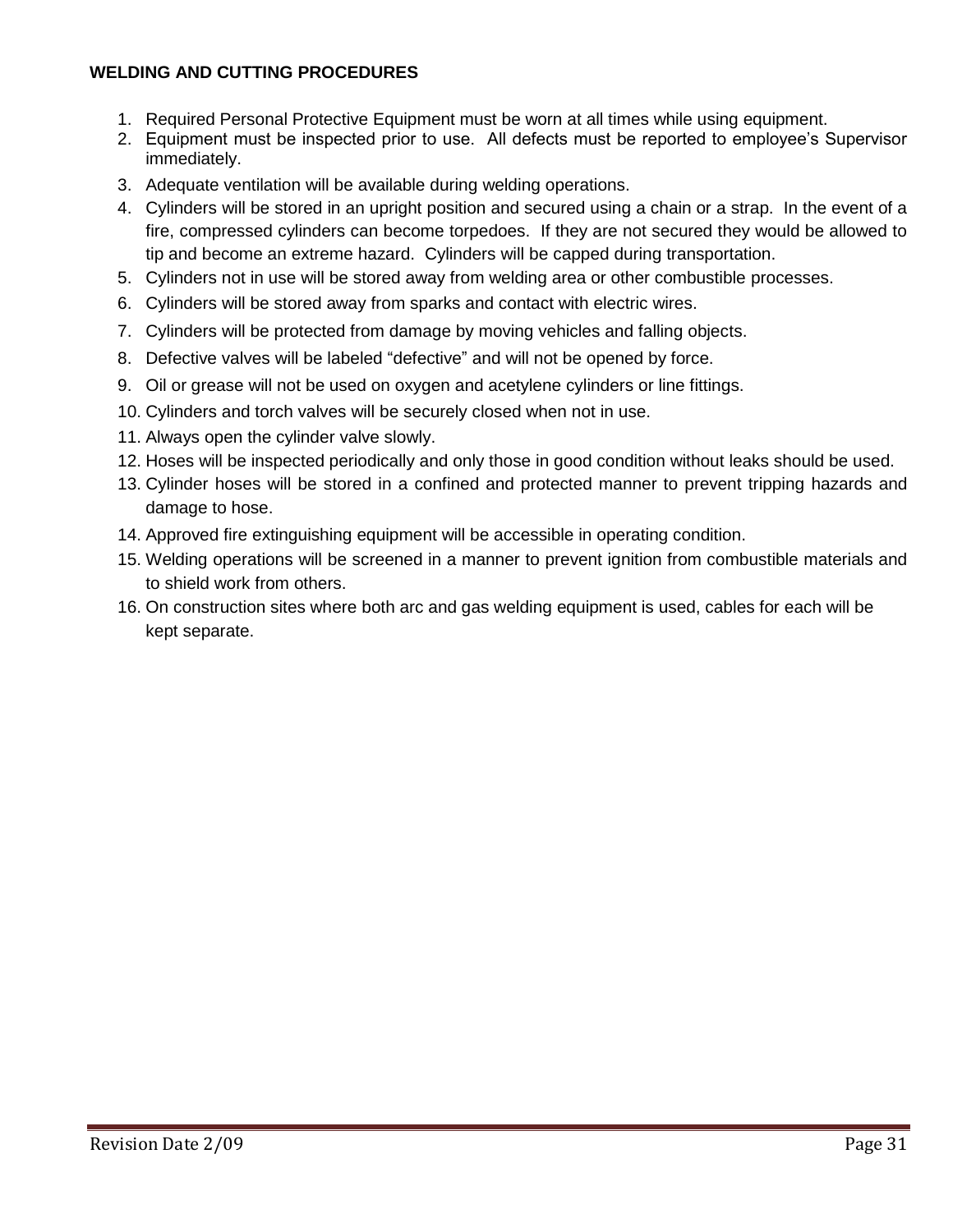## **WELDING AND CUTTING PROCEDURES**

- 1. Required Personal Protective Equipment must be worn at all times while using equipment.
- 2. Equipment must be inspected prior to use. All defects must be reported to employee's Supervisor immediately.
- 3. Adequate ventilation will be available during welding operations.
- 4. Cylinders will be stored in an upright position and secured using a chain or a strap. In the event of a fire, compressed cylinders can become torpedoes. If they are not secured they would be allowed to tip and become an extreme hazard. Cylinders will be capped during transportation.
- 5. Cylinders not in use will be stored away from welding area or other combustible processes.
- 6. Cylinders will be stored away from sparks and contact with electric wires.
- 7. Cylinders will be protected from damage by moving vehicles and falling objects.
- 8. Defective valves will be labeled "defective" and will not be opened by force.
- 9. Oil or grease will not be used on oxygen and acetylene cylinders or line fittings.
- 10. Cylinders and torch valves will be securely closed when not in use.
- 11. Always open the cylinder valve slowly.
- 12. Hoses will be inspected periodically and only those in good condition without leaks should be used.
- 13. Cylinder hoses will be stored in a confined and protected manner to prevent tripping hazards and damage to hose.
- 14. Approved fire extinguishing equipment will be accessible in operating condition.
- 15. Welding operations will be screened in a manner to prevent ignition from combustible materials and to shield work from others.
- 16. On construction sites where both arc and gas welding equipment is used, cables for each will be kept separate.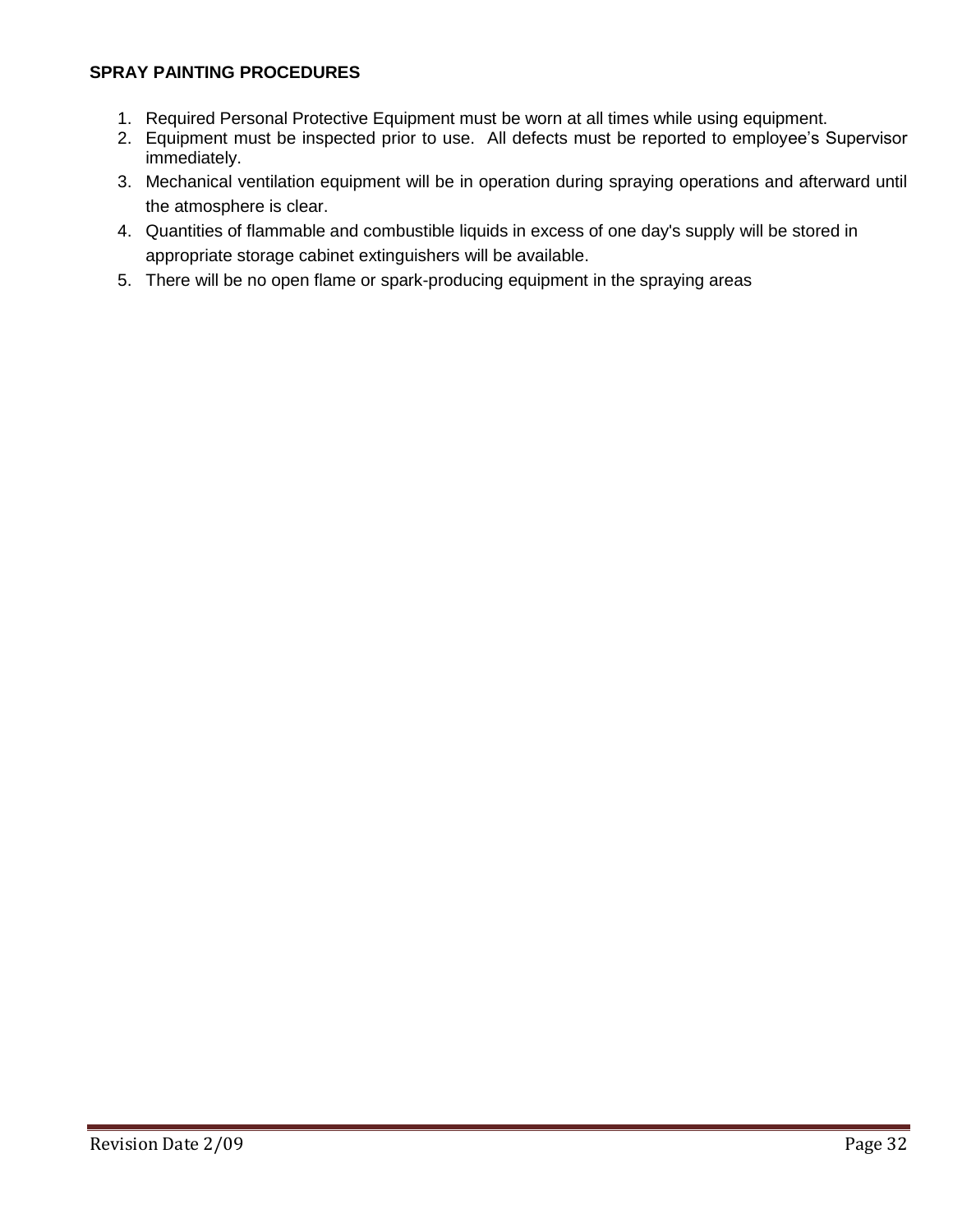## **SPRAY PAINTING PROCEDURES**

- 1. Required Personal Protective Equipment must be worn at all times while using equipment.
- 2. Equipment must be inspected prior to use. All defects must be reported to employee's Supervisor immediately.
- 3. Mechanical ventilation equipment will be in operation during spraying operations and afterward until the atmosphere is clear.
- 4. Quantities of flammable and combustible liquids in excess of one day's supply will be stored in appropriate storage cabinet extinguishers will be available.
- 5. There will be no open flame or spark-producing equipment in the spraying areas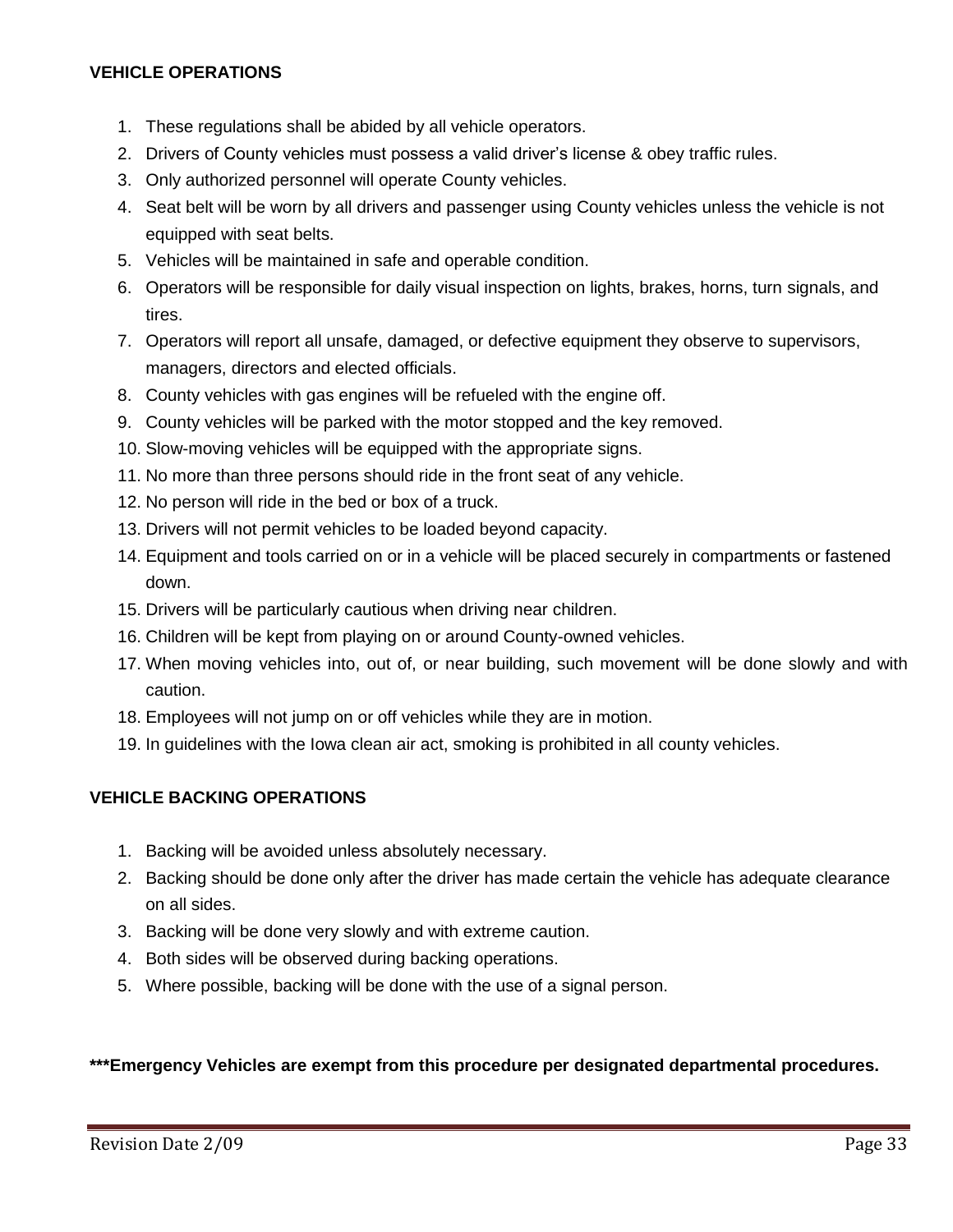## **VEHICLE OPERATIONS**

- 1. These regulations shall be abided by all vehicle operators.
- 2. Drivers of County vehicles must possess a valid driver's license & obey traffic rules.
- 3. Only authorized personnel will operate County vehicles.
- 4. Seat belt will be worn by all drivers and passenger using County vehicles unless the vehicle is not equipped with seat belts.
- 5. Vehicles will be maintained in safe and operable condition.
- 6. Operators will be responsible for daily visual inspection on lights, brakes, horns, turn signals, and tires.
- 7. Operators will report all unsafe, damaged, or defective equipment they observe to supervisors, managers, directors and elected officials.
- 8. County vehicles with gas engines will be refueled with the engine off.
- 9. County vehicles will be parked with the motor stopped and the key removed.
- 10. Slow-moving vehicles will be equipped with the appropriate signs.
- 11. No more than three persons should ride in the front seat of any vehicle.
- 12. No person will ride in the bed or box of a truck.
- 13. Drivers will not permit vehicles to be loaded beyond capacity.
- 14. Equipment and tools carried on or in a vehicle will be placed securely in compartments or fastened down.
- 15. Drivers will be particularly cautious when driving near children.
- 16. Children will be kept from playing on or around County-owned vehicles.
- 17. When moving vehicles into, out of, or near building, such movement will be done slowly and with caution.
- 18. Employees will not jump on or off vehicles while they are in motion.
- 19. In guidelines with the Iowa clean air act, smoking is prohibited in all county vehicles.

## **VEHICLE BACKING OPERATIONS**

- 1. Backing will be avoided unless absolutely necessary.
- 2. Backing should be done only after the driver has made certain the vehicle has adequate clearance on all sides.
- 3. Backing will be done very slowly and with extreme caution.
- 4. Both sides will be observed during backing operations.
- 5. Where possible, backing will be done with the use of a signal person.

### **\*\*\*Emergency Vehicles are exempt from this procedure per designated departmental procedures.**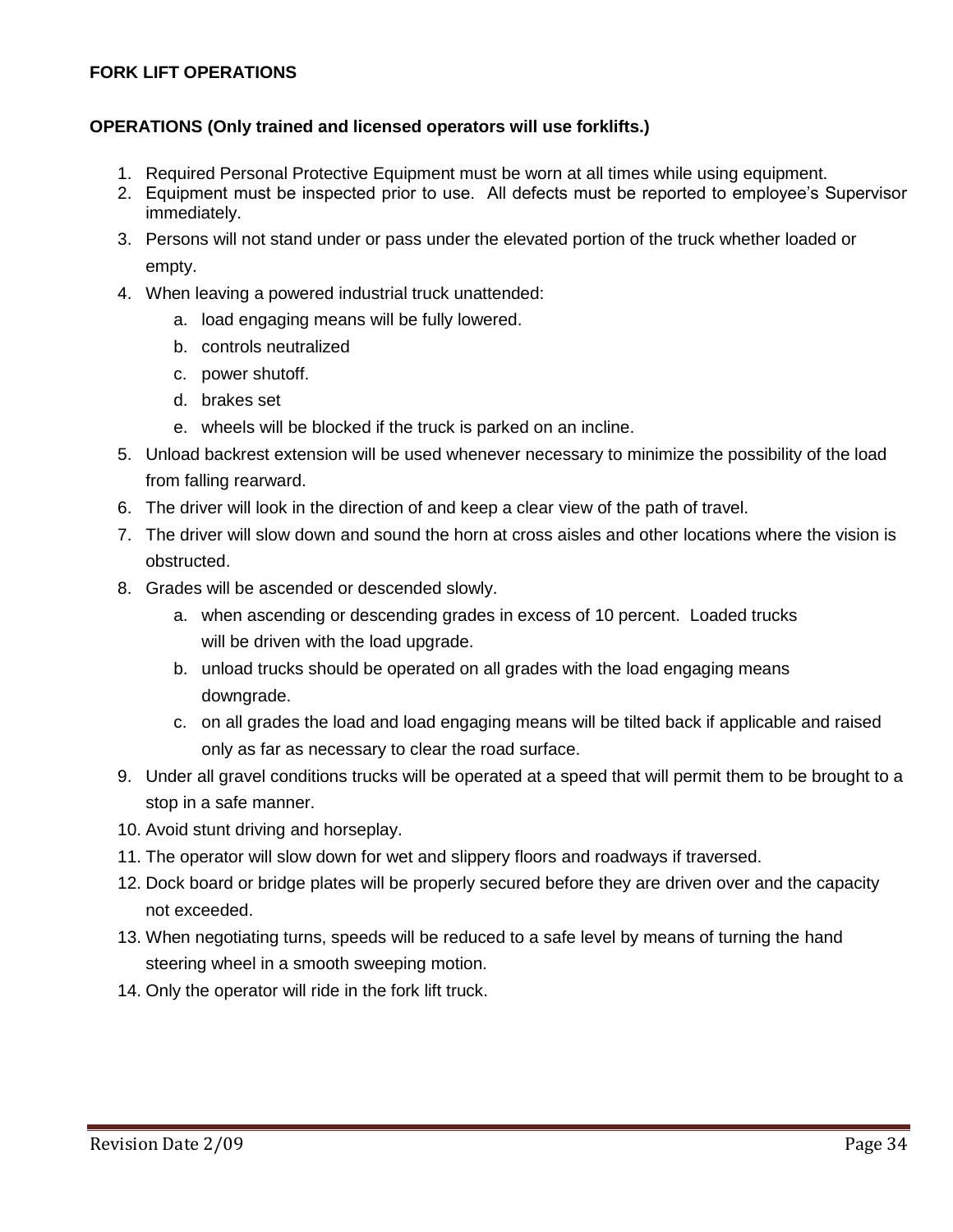## **FORK LIFT OPERATIONS**

### **OPERATIONS (Only trained and licensed operators will use forklifts.)**

- 1. Required Personal Protective Equipment must be worn at all times while using equipment.
- 2. Equipment must be inspected prior to use. All defects must be reported to employee's Supervisor immediately.
- 3. Persons will not stand under or pass under the elevated portion of the truck whether loaded or empty.
- 4. When leaving a powered industrial truck unattended:
	- a. load engaging means will be fully lowered.
	- b. controls neutralized
	- c. power shutoff.
	- d. brakes set
	- e. wheels will be blocked if the truck is parked on an incline.
- 5. Unload backrest extension will be used whenever necessary to minimize the possibility of the load from falling rearward.
- 6. The driver will look in the direction of and keep a clear view of the path of travel.
- 7. The driver will slow down and sound the horn at cross aisles and other locations where the vision is obstructed.
- 8. Grades will be ascended or descended slowly.
	- a. when ascending or descending grades in excess of 10 percent. Loaded trucks will be driven with the load upgrade.
	- b. unload trucks should be operated on all grades with the load engaging means downgrade.
	- c. on all grades the load and load engaging means will be tilted back if applicable and raised only as far as necessary to clear the road surface.
- 9. Under all gravel conditions trucks will be operated at a speed that will permit them to be brought to a stop in a safe manner.
- 10. Avoid stunt driving and horseplay.
- 11. The operator will slow down for wet and slippery floors and roadways if traversed.
- 12. Dock board or bridge plates will be properly secured before they are driven over and the capacity not exceeded.
- 13. When negotiating turns, speeds will be reduced to a safe level by means of turning the hand steering wheel in a smooth sweeping motion.
- 14. Only the operator will ride in the fork lift truck.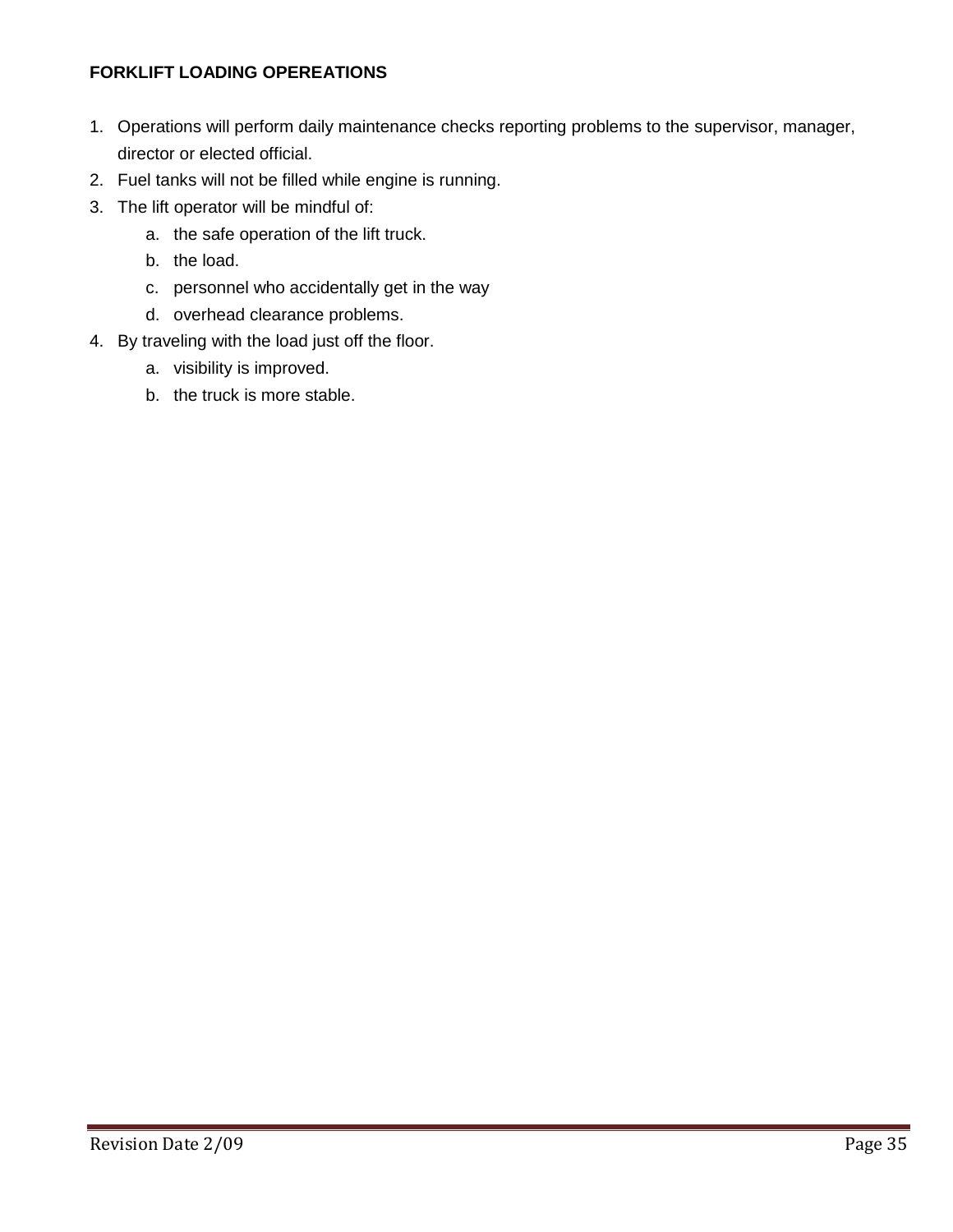# **FORKLIFT LOADING OPEREATIONS**

- 1. Operations will perform daily maintenance checks reporting problems to the supervisor, manager, director or elected official.
- 2. Fuel tanks will not be filled while engine is running.
- 3. The lift operator will be mindful of:
	- a. the safe operation of the lift truck.
	- b. the load.
	- c. personnel who accidentally get in the way
	- d. overhead clearance problems.
- 4. By traveling with the load just off the floor.
	- a. visibility is improved.
	- b. the truck is more stable.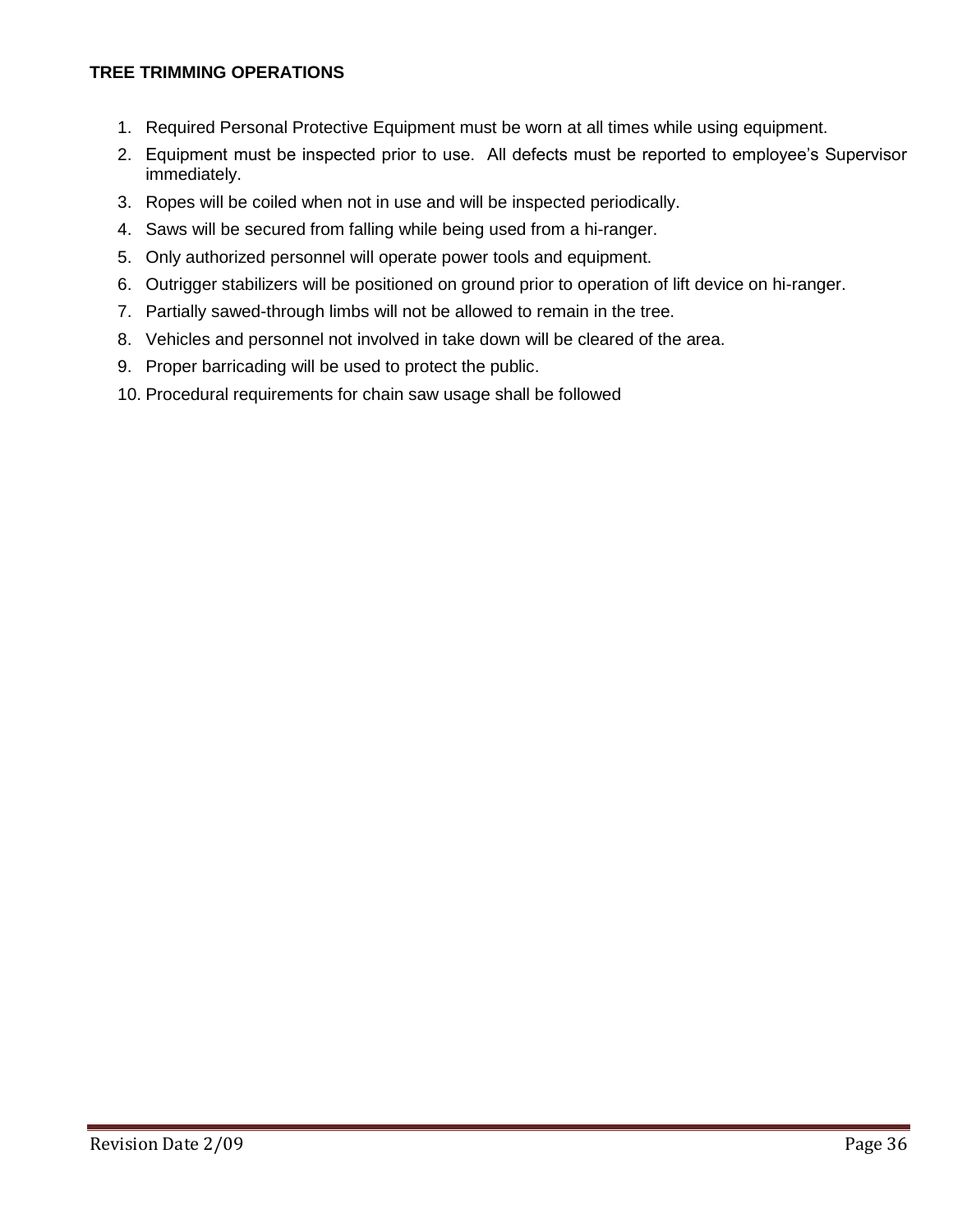### **TREE TRIMMING OPERATIONS**

- 1. Required Personal Protective Equipment must be worn at all times while using equipment.
- 2. Equipment must be inspected prior to use. All defects must be reported to employee's Supervisor immediately.
- 3. Ropes will be coiled when not in use and will be inspected periodically.
- 4. Saws will be secured from falling while being used from a hi-ranger.
- 5. Only authorized personnel will operate power tools and equipment.
- 6. Outrigger stabilizers will be positioned on ground prior to operation of lift device on hi-ranger.
- 7. Partially sawed-through limbs will not be allowed to remain in the tree.
- 8. Vehicles and personnel not involved in take down will be cleared of the area.
- 9. Proper barricading will be used to protect the public.
- 10. Procedural requirements for chain saw usage shall be followed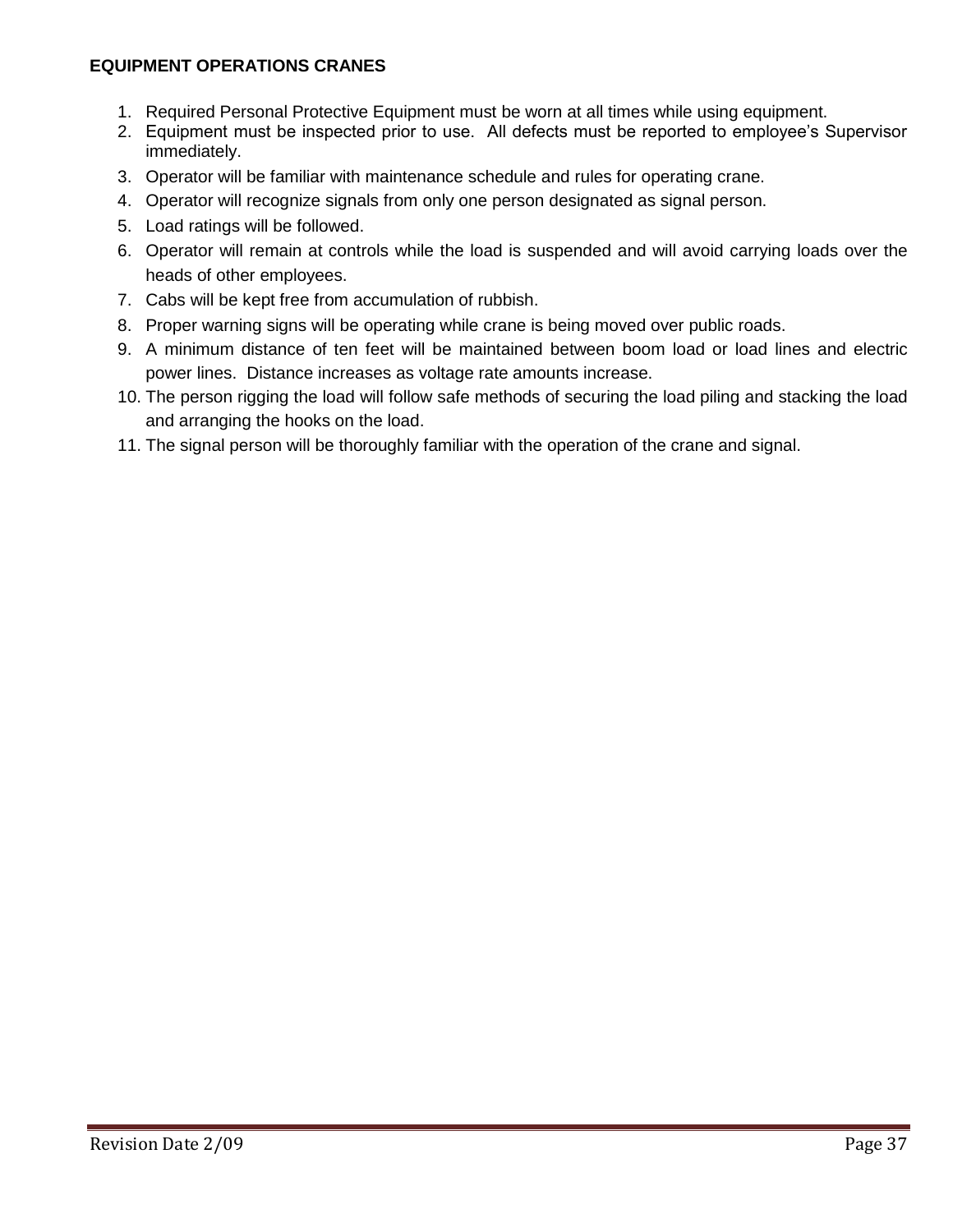## **EQUIPMENT OPERATIONS CRANES**

- 1. Required Personal Protective Equipment must be worn at all times while using equipment.
- 2. Equipment must be inspected prior to use. All defects must be reported to employee's Supervisor immediately.
- 3. Operator will be familiar with maintenance schedule and rules for operating crane.
- 4. Operator will recognize signals from only one person designated as signal person.
- 5. Load ratings will be followed.
- 6. Operator will remain at controls while the load is suspended and will avoid carrying loads over the heads of other employees.
- 7. Cabs will be kept free from accumulation of rubbish.
- 8. Proper warning signs will be operating while crane is being moved over public roads.
- 9. A minimum distance of ten feet will be maintained between boom load or load lines and electric power lines. Distance increases as voltage rate amounts increase.
- 10. The person rigging the load will follow safe methods of securing the load piling and stacking the load and arranging the hooks on the load.
- 11. The signal person will be thoroughly familiar with the operation of the crane and signal.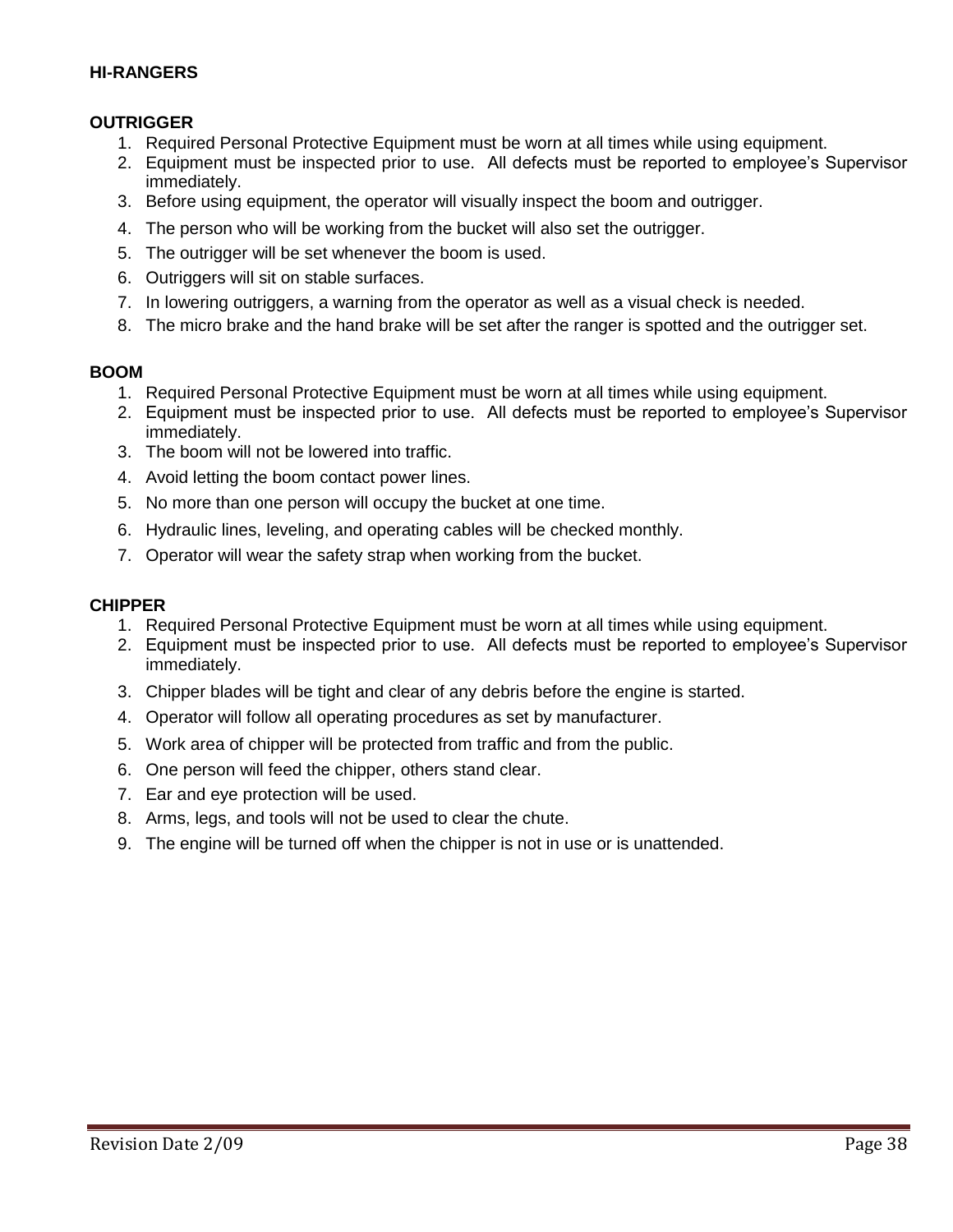#### **HI-RANGERS**

### **OUTRIGGER**

- 1. Required Personal Protective Equipment must be worn at all times while using equipment.
- 2. Equipment must be inspected prior to use. All defects must be reported to employee's Supervisor immediately.
- 3. Before using equipment, the operator will visually inspect the boom and outrigger.
- 4. The person who will be working from the bucket will also set the outrigger.
- 5. The outrigger will be set whenever the boom is used.
- 6. Outriggers will sit on stable surfaces.
- 7. In lowering outriggers, a warning from the operator as well as a visual check is needed.
- 8. The micro brake and the hand brake will be set after the ranger is spotted and the outrigger set.

#### **BOOM**

- 1. Required Personal Protective Equipment must be worn at all times while using equipment.
- 2. Equipment must be inspected prior to use. All defects must be reported to employee's Supervisor immediately.
- 3. The boom will not be lowered into traffic.
- 4. Avoid letting the boom contact power lines.
- 5. No more than one person will occupy the bucket at one time.
- 6. Hydraulic lines, leveling, and operating cables will be checked monthly.
- 7. Operator will wear the safety strap when working from the bucket.

#### **CHIPPER**

- 1. Required Personal Protective Equipment must be worn at all times while using equipment.
- 2. Equipment must be inspected prior to use. All defects must be reported to employee's Supervisor immediately.
- 3. Chipper blades will be tight and clear of any debris before the engine is started.
- 4. Operator will follow all operating procedures as set by manufacturer.
- 5. Work area of chipper will be protected from traffic and from the public.
- 6. One person will feed the chipper, others stand clear.
- 7. Ear and eye protection will be used.
- 8. Arms, legs, and tools will not be used to clear the chute.
- 9. The engine will be turned off when the chipper is not in use or is unattended.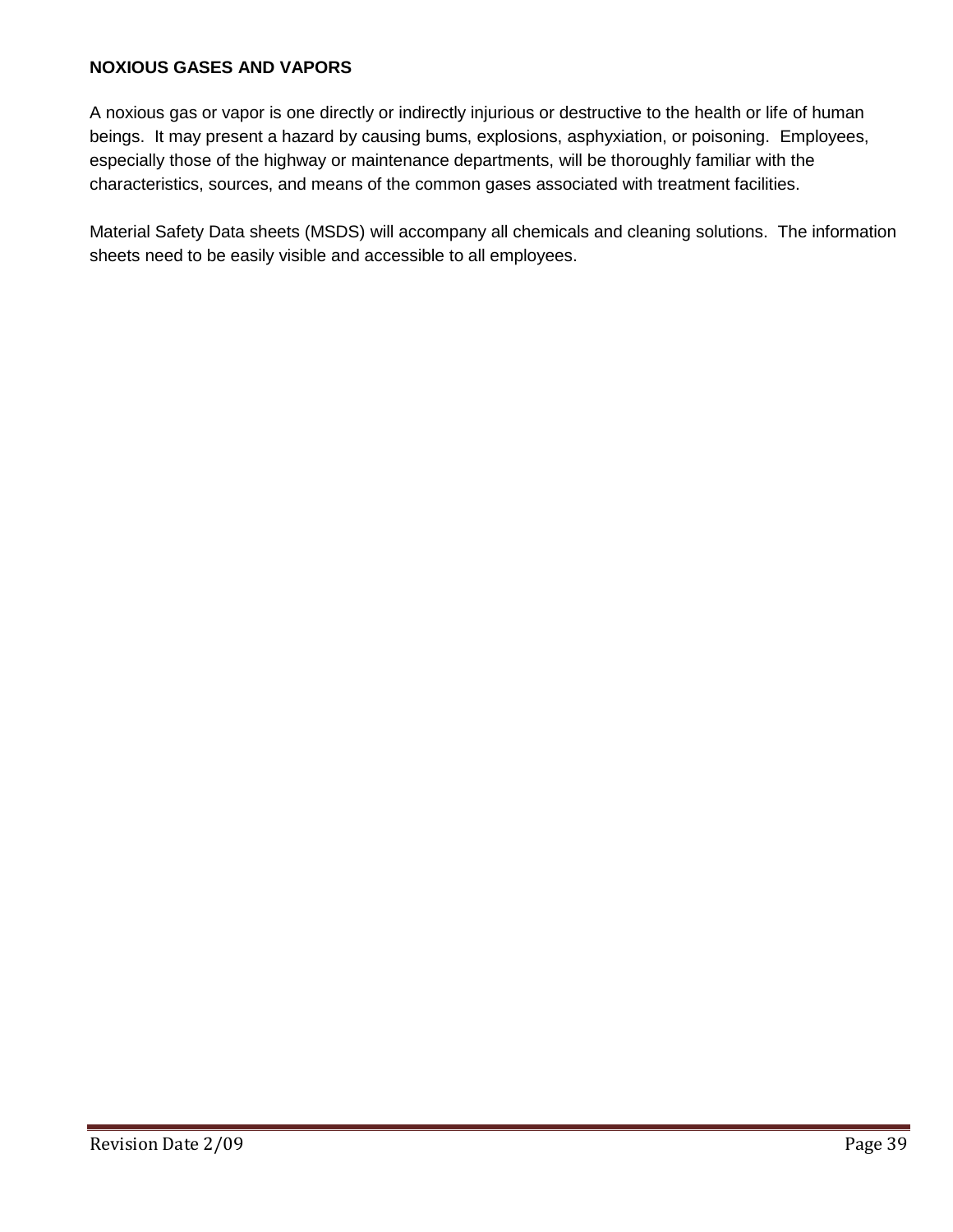## **NOXIOUS GASES AND VAPORS**

A noxious gas or vapor is one directly or indirectly injurious or destructive to the health or life of human beings. It may present a hazard by causing bums, explosions, asphyxiation, or poisoning. Employees, especially those of the highway or maintenance departments, will be thoroughly familiar with the characteristics, sources, and means of the common gases associated with treatment facilities.

Material Safety Data sheets (MSDS) will accompany all chemicals and cleaning solutions. The information sheets need to be easily visible and accessible to all employees.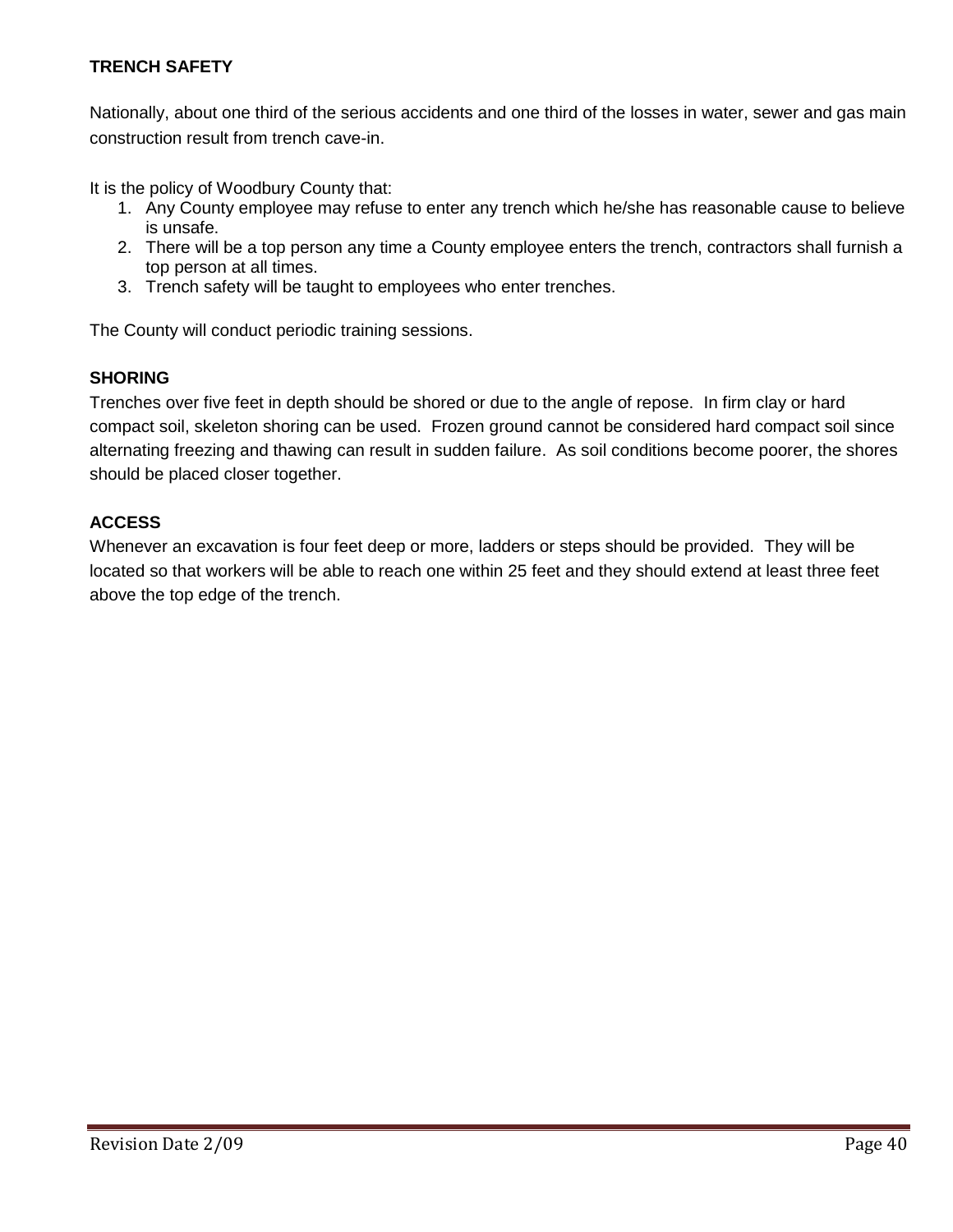## **TRENCH SAFETY**

Nationally, about one third of the serious accidents and one third of the losses in water, sewer and gas main construction result from trench cave-in.

It is the policy of Woodbury County that:

- 1. Any County employee may refuse to enter any trench which he/she has reasonable cause to believe is unsafe.
- 2. There will be a top person any time a County employee enters the trench, contractors shall furnish a top person at all times.
- 3. Trench safety will be taught to employees who enter trenches.

The County will conduct periodic training sessions.

## **SHORING**

Trenches over five feet in depth should be shored or due to the angle of repose. In firm clay or hard compact soil, skeleton shoring can be used. Frozen ground cannot be considered hard compact soil since alternating freezing and thawing can result in sudden failure. As soil conditions become poorer, the shores should be placed closer together.

## **ACCESS**

Whenever an excavation is four feet deep or more, ladders or steps should be provided. They will be located so that workers will be able to reach one within 25 feet and they should extend at least three feet above the top edge of the trench.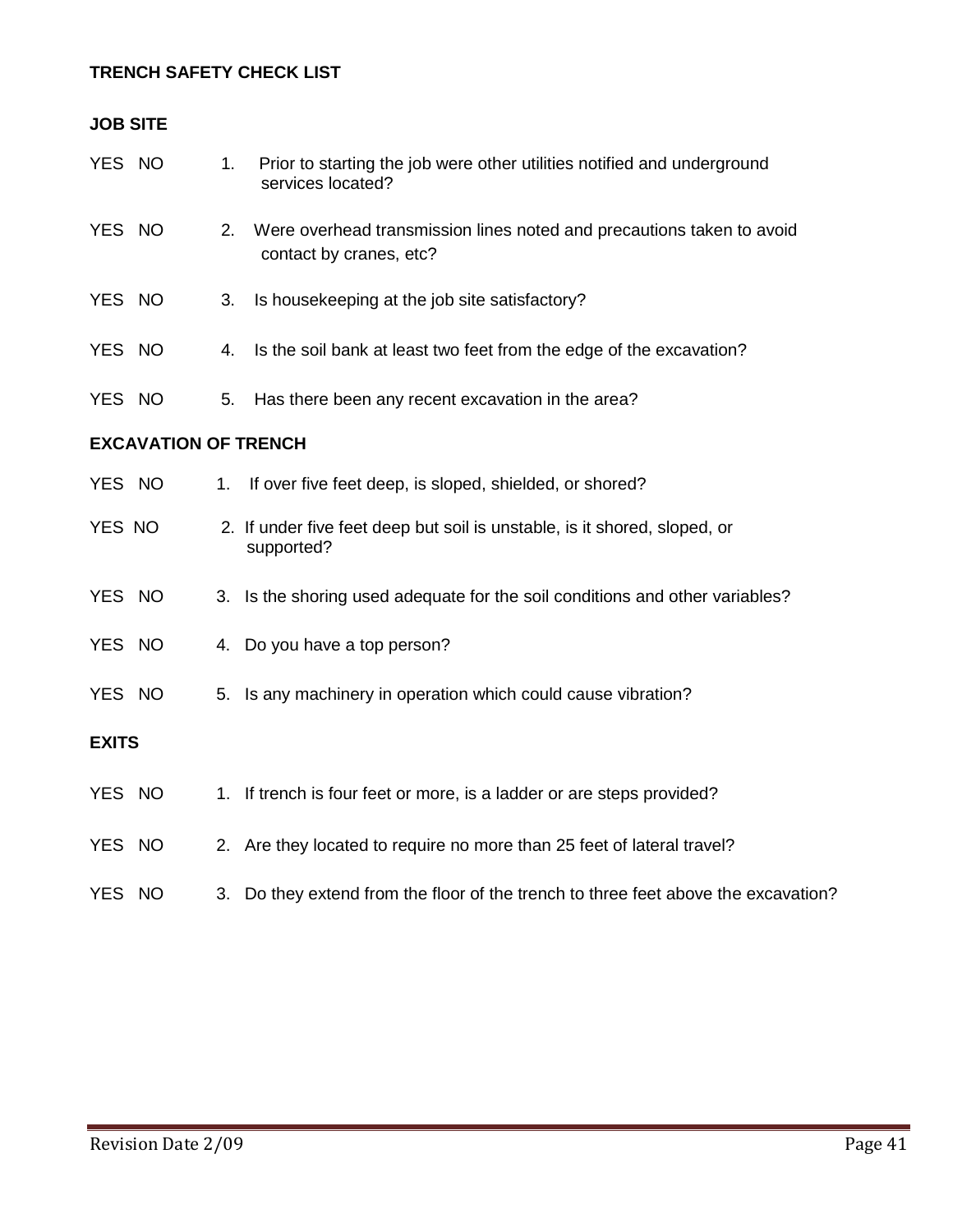# **TRENCH SAFETY CHECK LIST**

| <b>JOB SITE</b>             |  |    |                                                                                                  |  |
|-----------------------------|--|----|--------------------------------------------------------------------------------------------------|--|
| YES NO                      |  | 1. | Prior to starting the job were other utilities notified and underground<br>services located?     |  |
| YES NO                      |  | 2. | Were overhead transmission lines noted and precautions taken to avoid<br>contact by cranes, etc? |  |
| YES NO                      |  | 3. | Is housekeeping at the job site satisfactory?                                                    |  |
| YES NO                      |  | 4. | Is the soil bank at least two feet from the edge of the excavation?                              |  |
| YES NO                      |  | 5. | Has there been any recent excavation in the area?                                                |  |
| <b>EXCAVATION OF TRENCH</b> |  |    |                                                                                                  |  |
| YES NO                      |  | 1. | If over five feet deep, is sloped, shielded, or shored?                                          |  |
| YES NO                      |  |    | 2. If under five feet deep but soil is unstable, is it shored, sloped, or<br>supported?          |  |
| YES NO                      |  |    | 3. Is the shoring used adequate for the soil conditions and other variables?                     |  |
| YES NO                      |  |    | 4. Do you have a top person?                                                                     |  |
| YES NO                      |  | 5. | Is any machinery in operation which could cause vibration?                                       |  |
| <b>EXITS</b>                |  |    |                                                                                                  |  |
| YES NO                      |  |    | 1. If trench is four feet or more, is a ladder or are steps provided?                            |  |
| YES NO                      |  |    | 2. Are they located to require no more than 25 feet of lateral travel?                           |  |
| YES NO                      |  | 3. | Do they extend from the floor of the trench to three feet above the excavation?                  |  |